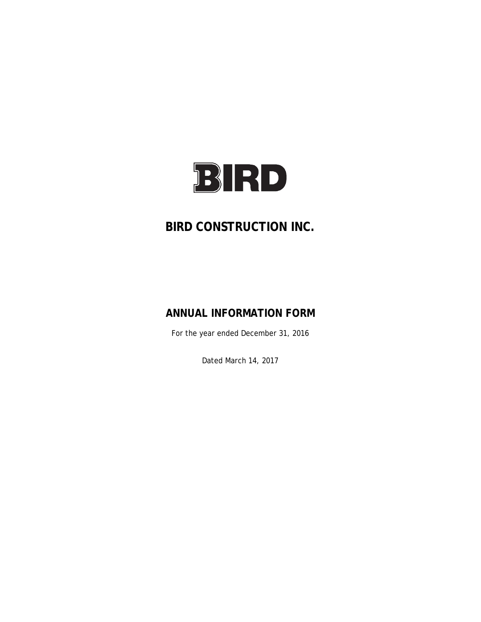

# **BIRD CONSTRUCTION INC.**

# **ANNUAL INFORMATION FORM**

For the year ended December 31, 2016

Dated March 14, 2017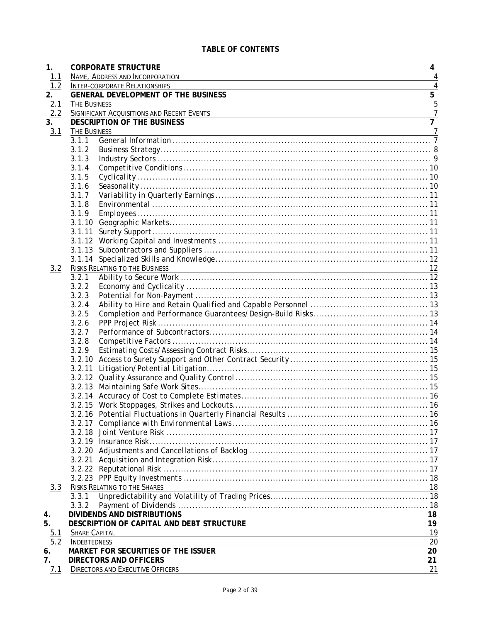| 1.                | <b>CORPORATE STRUCTURE</b>                                                                                                           | 4              |
|-------------------|--------------------------------------------------------------------------------------------------------------------------------------|----------------|
| 1.1               | NAME, ADDRESS AND INCORPORATION                                                                                                      | 4              |
| 1.2               | <b>INTER-CORPORATE RELATIONSHIPS</b>                                                                                                 | $\overline{4}$ |
| 2.                | <b>GENERAL DEVELOPMENT OF THE BUSINESS</b>                                                                                           | $\overline{5}$ |
| $\frac{2.1}{2.2}$ | THE BUSINESS                                                                                                                         | 5              |
|                   | SIGNIFICANT ACQUISITIONS AND RECENT EVENTS                                                                                           | $\overline{7}$ |
| 3.                | <b>DESCRIPTION OF THE BUSINESS</b>                                                                                                   | $\overline{7}$ |
| 3.1               | THE BUSINESS<br><u> 1989 - Johann Barn, amerikan bernama di sebagai bernama dan bernama di sebagai bernama dalam bernama dalam b</u> |                |
|                   | 3.1.1                                                                                                                                |                |
|                   | 3.1.2                                                                                                                                |                |
|                   | 3.1.3                                                                                                                                |                |
|                   | 3.1.4                                                                                                                                |                |
|                   | 3.1.5                                                                                                                                |                |
|                   | 3.1.6                                                                                                                                |                |
|                   | 3.1.7<br>3.1.8                                                                                                                       |                |
|                   |                                                                                                                                      |                |
|                   | 3.1.9                                                                                                                                |                |
|                   |                                                                                                                                      |                |
|                   | 3.1.12                                                                                                                               |                |
|                   |                                                                                                                                      |                |
|                   |                                                                                                                                      |                |
| 3.2               | <b>RISKS RELATING TO THE BUSINESS</b>                                                                                                | 12             |
|                   | 3.2.1                                                                                                                                |                |
|                   | 3.2.2                                                                                                                                |                |
|                   | 3.2.3                                                                                                                                |                |
|                   | 3.2.4                                                                                                                                |                |
|                   | 3.2.5                                                                                                                                |                |
|                   | 3.2.6                                                                                                                                |                |
|                   | 3.2.7                                                                                                                                |                |
|                   | 3.2.8                                                                                                                                |                |
|                   | 3.2.9                                                                                                                                |                |
|                   |                                                                                                                                      |                |
|                   |                                                                                                                                      |                |
|                   |                                                                                                                                      |                |
|                   |                                                                                                                                      |                |
|                   |                                                                                                                                      |                |
|                   |                                                                                                                                      |                |
|                   |                                                                                                                                      |                |
|                   |                                                                                                                                      |                |
|                   |                                                                                                                                      |                |
|                   |                                                                                                                                      |                |
|                   |                                                                                                                                      |                |
|                   |                                                                                                                                      |                |
|                   |                                                                                                                                      |                |
|                   |                                                                                                                                      |                |
| 3.3               | RISKS RELATING TO THE SHARES                                                                                                         | 18             |
|                   | 3.3.1                                                                                                                                |                |
|                   | 3.3.2                                                                                                                                |                |
| 4.                | <b>DIVIDENDS AND DISTRIBUTIONS</b>                                                                                                   | 18             |
| 5.                | DESCRIPTION OF CAPITAL AND DEBT STRUCTURE                                                                                            | 19             |
| $\frac{5.1}{5.2}$ | <b>SHARE CAPITAL</b>                                                                                                                 | 19             |
|                   | <b>INDEBTEDNESS</b>                                                                                                                  | 20             |
| 6.                | MARKET FOR SECURITIES OF THE ISSUER                                                                                                  | 20             |
| 7.                | <b>DIRECTORS AND OFFICERS</b>                                                                                                        | 21             |
| 7.1               | <b>DIRECTORS AND EXECUTIVE OFFICERS</b>                                                                                              | 21             |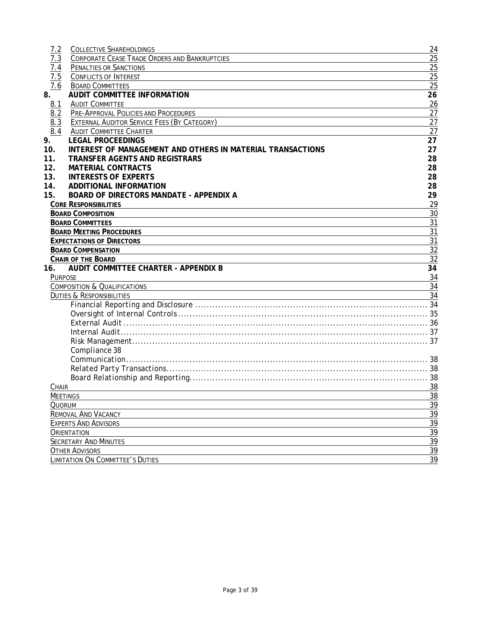| 7.2             | <b>COLLECTIVE SHAREHOLDINGS</b>                            | 24              |
|-----------------|------------------------------------------------------------|-----------------|
| 7.3             | CORPORATE CEASE TRADE ORDERS AND BANKRUPTCIES              | 25              |
| 7.4             | <b>PENALTIES OR SANCTIONS</b>                              | 25              |
| 7.5             | <b>CONFLICTS OF INTEREST</b>                               | 25              |
| 7.6             | <b>BOARD COMMITTEES</b>                                    | 25              |
| 8.              | <b>AUDIT COMMITTEE INFORMATION</b>                         | 26              |
| 8.1             | <b>AUDIT COMMITTEE</b>                                     | 26              |
| 8.2             | PRE-APPROVAL POLICIES AND PROCEDURES                       | 27              |
| 8.3             | EXTERNAL AUDITOR SERVICE FEES (BY CATEGORY)                | 27              |
| 8.4             | <b>AUDIT COMMITTEE CHARTER</b>                             | 27              |
| 9.              | <b>LEGAL PROCEEDINGS</b>                                   | 27              |
| 10.             | INTEREST OF MANAGEMENT AND OTHERS IN MATERIAL TRANSACTIONS | 27              |
| 11.             | <b>TRANSFER AGENTS AND REGISTRARS</b>                      | 28              |
| 12.             | <b>MATERIAL CONTRACTS</b>                                  | 28              |
| 13.             | <b>INTERESTS OF EXPERTS</b>                                | 28              |
| 14.             | <b>ADDITIONAL INFORMATION</b>                              | 28              |
| 15.             | <b>BOARD OF DIRECTORS MANDATE - APPENDIX A</b>             | 29              |
|                 | <b>CORE RESPONSIBILITIES</b>                               | 29              |
|                 | <b>BOARD COMPOSITION</b>                                   | 30              |
|                 | <b>BOARD COMMITTEES</b>                                    | 31              |
|                 | <b>BOARD MEETING PROCEDURES</b>                            | 31              |
|                 | <b>EXPECTATIONS OF DIRECTORS</b>                           | 31              |
|                 | <b>BOARD COMPENSATION</b>                                  | $\overline{32}$ |
|                 | <b>CHAIR OF THE BOARD</b>                                  | $\overline{32}$ |
| 16.             | <b>AUDIT COMMITTEE CHARTER - APPENDIX B</b>                | $\overline{34}$ |
| <b>PURPOSE</b>  |                                                            | 34              |
|                 | <b>COMPOSITION &amp; QUALIFICATIONS</b>                    | $\overline{34}$ |
|                 | <b>DUTIES &amp; RESPONSIBILITIES</b>                       | $\overline{34}$ |
|                 |                                                            |                 |
|                 |                                                            |                 |
|                 |                                                            |                 |
|                 |                                                            |                 |
|                 |                                                            |                 |
|                 | Compliance 38                                              |                 |
|                 |                                                            |                 |
|                 |                                                            |                 |
|                 |                                                            |                 |
| CHAIR           |                                                            | 38              |
| <b>MEETINGS</b> |                                                            | 38              |
| QUORUM          |                                                            | 39              |
|                 | <b>REMOVAL AND VACANCY</b>                                 | 39              |
|                 | <b>EXPERTS AND ADVISORS</b>                                | $\overline{39}$ |
|                 | ORIENTATION                                                | $\frac{39}{2}$  |
|                 | <b>SECRETARY AND MINUTES</b>                               | $\overline{39}$ |
|                 | <b>OTHER ADVISORS</b>                                      | 39              |
|                 | LIMITATION ON COMMITTEE'S DUTIES                           | 39              |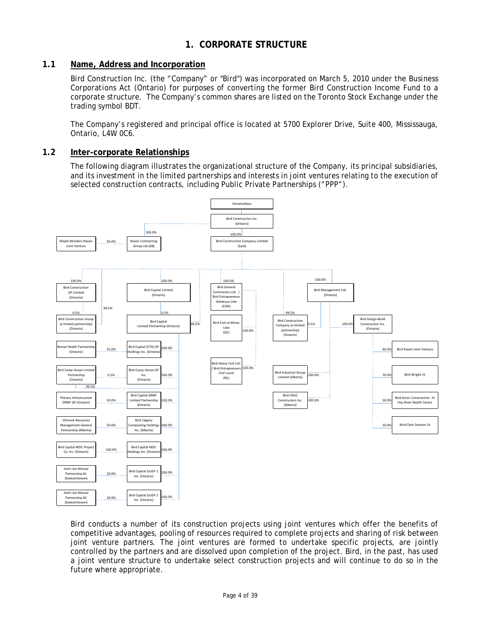# **1. CORPORATE STRUCTURE**

# **1.1 Name, Address and Incorporation**

Bird Construction Inc. (the "Company" or "Bird") was incorporated on March 5, 2010 under the *Business Corporations Act* (Ontario) for purposes of converting the former Bird Construction Income Fund to a corporate structure. The Company's common shares are listed on the Toronto Stock Exchange under the trading symbol BDT.

The Company's registered and principal office is located at 5700 Explorer Drive, Suite 400, Mississauga, Ontario, L4W 0C6.

### **1.2 Inter-corporate Relationships**

The following diagram illustrates the organizational structure of the Company, its principal subsidiaries, and its investment in the limited partnerships and interests in joint ventures relating to the execution of selected construction contracts, including Public Private Partnerships ("PPP").



Bird conducts a number of its construction projects using joint ventures which offer the benefits of competitive advantages, pooling of resources required to complete projects and sharing of risk between joint venture partners. The joint ventures are formed to undertake specific projects, are jointly controlled by the partners and are dissolved upon completion of the project. Bird, in the past, has used a joint venture structure to undertake select construction projects and will continue to do so in the future where appropriate.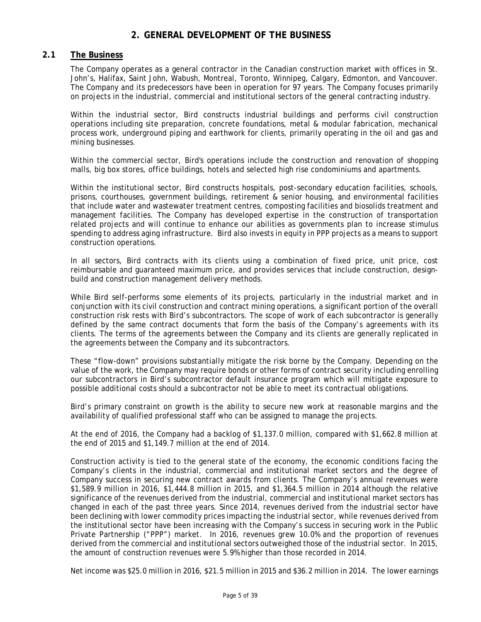# **2. GENERAL DEVELOPMENT OF THE BUSINESS**

# **2.1 The Business**

The Company operates as a general contractor in the Canadian construction market with offices in St. John's, Halifax, Saint John, Wabush, Montreal, Toronto, Winnipeg, Calgary, Edmonton, and Vancouver. The Company and its predecessors have been in operation for 97 years. The Company focuses primarily on projects in the industrial, commercial and institutional sectors of the general contracting industry.

Within the industrial sector, Bird constructs industrial buildings and performs civil construction operations including site preparation, concrete foundations, metal & modular fabrication, mechanical process work, underground piping and earthwork for clients, primarily operating in the oil and gas and mining businesses.

Within the commercial sector, Bird's operations include the construction and renovation of shopping malls, big box stores, office buildings, hotels and selected high rise condominiums and apartments.

Within the institutional sector, Bird constructs hospitals, post-secondary education facilities, schools, prisons, courthouses, government buildings, retirement & senior housing, and environmental facilities that include water and wastewater treatment centres, composting facilities and biosolids treatment and management facilities. The Company has developed expertise in the construction of transportation related projects and will continue to enhance our abilities as governments plan to increase stimulus spending to address aging infrastructure. Bird also invests in equity in PPP projects as a means to support construction operations.

In all sectors, Bird contracts with its clients using a combination of fixed price, unit price, cost reimbursable and guaranteed maximum price, and provides services that include construction, designbuild and construction management delivery methods.

While Bird self-performs some elements of its projects, particularly in the industrial market and in conjunction with its civil construction and contract mining operations, a significant portion of the overall construction risk rests with Bird's subcontractors. The scope of work of each subcontractor is generally defined by the same contract documents that form the basis of the Company's agreements with its clients. The terms of the agreements between the Company and its clients are generally replicated in the agreements between the Company and its subcontractors.

These "flow-down" provisions substantially mitigate the risk borne by the Company. Depending on the value of the work, the Company may require bonds or other forms of contract security including enrolling our subcontractors in Bird's subcontractor default insurance program which will mitigate exposure to possible additional costs should a subcontractor not be able to meet its contractual obligations.

Bird's primary constraint on growth is the ability to secure new work at reasonable margins and the availability of qualified professional staff who can be assigned to manage the projects.

At the end of 2016, the Company had a backlog of \$1,137.0 million, compared with \$1,662.8 million at the end of 2015 and \$1,149.7 million at the end of 2014.

Construction activity is tied to the general state of the economy, the economic conditions facing the Company's clients in the industrial, commercial and institutional market sectors and the degree of Company success in securing new contract awards from clients. The Company's annual revenues were \$1,589.9 million in 2016, \$1,444.8 million in 2015, and \$1,364.5 million in 2014 although the relative significance of the revenues derived from the industrial, commercial and institutional market sectors has changed in each of the past three years. Since 2014, revenues derived from the industrial sector have been declining with lower commodity prices impacting the industrial sector, while revenues derived from the institutional sector have been increasing with the Company's success in securing work in the Public Private Partnership ("PPP") market. In 2016, revenues grew 10.0% and the proportion of revenues derived from the commercial and institutional sectors outweighed those of the industrial sector. In 2015, the amount of construction revenues were 5.9% higher than those recorded in 2014.

Net income was \$25.0 million in 2016, \$21.5 million in 2015 and \$36.2 million in 2014. The lower earnings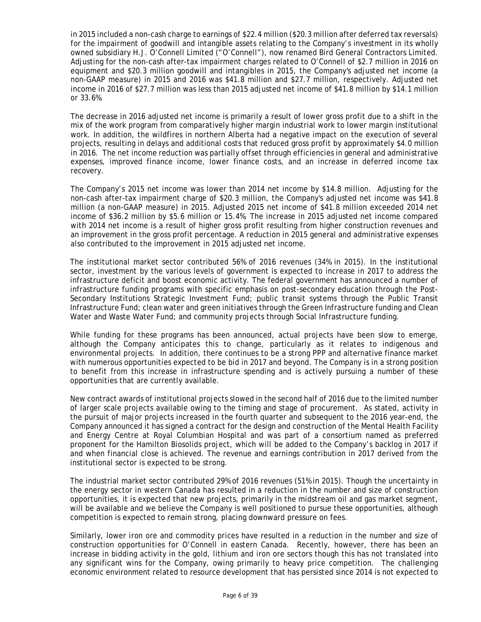in 2015 included a non-cash charge to earnings of \$22.4 million (\$20.3 million after deferred tax reversals) for the impairment of goodwill and intangible assets relating to the Company's investment in its wholly owned subsidiary H.J. O'Connell Limited ("O'Connell"), now renamed Bird General Contractors Limited. Adjusting for the non-cash after-tax impairment charges related to O'Connell of \$2.7 million in 2016 on equipment and \$20.3 million goodwill and intangibles in 2015, the Company's adjusted net income (a non-GAAP measure) in 2015 and 2016 was \$41.8 million and \$27.7 million, respectively. Adjusted net income in 2016 of \$27.7 million was less than 2015 adjusted net income of \$41.8 million by \$14.1 million or 33.6%.

The decrease in 2016 adjusted net income is primarily a result of lower gross profit due to a shift in the mix of the work program from comparatively higher margin industrial work to lower margin institutional work. In addition, the wildfires in northern Alberta had a negative impact on the execution of several projects, resulting in delays and additional costs that reduced gross profit by approximately \$4.0 million in 2016. The net income reduction was partially offset through efficiencies in general and administrative expenses, improved finance income, lower finance costs, and an increase in deferred income tax recovery.

The Company's 2015 net income was lower than 2014 net income by \$14.8 million. Adjusting for the non-cash after-tax impairment charge of \$20.3 million, the Company's adjusted net income was \$41.8 million (a non-GAAP measure) in 2015. Adjusted 2015 net income of \$41.8 million exceeded 2014 net income of \$36.2 million by \$5.6 million or 15.4%. The increase in 2015 adjusted net income compared with 2014 net income is a result of higher gross profit resulting from higher construction revenues and an improvement in the gross profit percentage. A reduction in 2015 general and administrative expenses also contributed to the improvement in 2015 adjusted net income.

The institutional market sector contributed 56% of 2016 revenues (34% in 2015). In the institutional sector, investment by the various levels of government is expected to increase in 2017 to address the infrastructure deficit and boost economic activity. The federal government has announced a number of infrastructure funding programs with specific emphasis on post-secondary education through the Post-Secondary Institutions Strategic Investment Fund; public transit systems through the Public Transit Infrastructure Fund; clean water and green initiatives through the Green Infrastructure funding and Clean Water and Waste Water Fund; and community projects through Social Infrastructure funding.

While funding for these programs has been announced, actual projects have been slow to emerge, although the Company anticipates this to change, particularly as it relates to indigenous and environmental projects. In addition, there continues to be a strong PPP and alternative finance market with numerous opportunities expected to be bid in 2017 and beyond. The Company is in a strong position to benefit from this increase in infrastructure spending and is actively pursuing a number of these opportunities that are currently available.

New contract awards of institutional projects slowed in the second half of 2016 due to the limited number of larger scale projects available owing to the timing and stage of procurement. As stated, activity in the pursuit of major projects increased in the fourth quarter and subsequent to the 2016 year-end, the Company announced it has signed a contract for the design and construction of the Mental Health Facility and Energy Centre at Royal Columbian Hospital and was part of a consortium named as preferred proponent for the Hamilton Biosolids project, which will be added to the Company's backlog in 2017 if and when financial close is achieved. The revenue and earnings contribution in 2017 derived from the institutional sector is expected to be strong.

The industrial market sector contributed 29% of 2016 revenues (51% in 2015). Though the uncertainty in the energy sector in western Canada has resulted in a reduction in the number and size of construction opportunities, it is expected that new projects, primarily in the midstream oil and gas market segment, will be available and we believe the Company is well positioned to pursue these opportunities, although competition is expected to remain strong, placing downward pressure on fees.

Similarly, lower iron ore and commodity prices have resulted in a reduction in the number and size of construction opportunities for O'Connell in eastern Canada. Recently, however, there has been an increase in bidding activity in the gold, lithium and iron ore sectors though this has not translated into any significant wins for the Company, owing primarily to heavy price competition. The challenging economic environment related to resource development that has persisted since 2014 is not expected to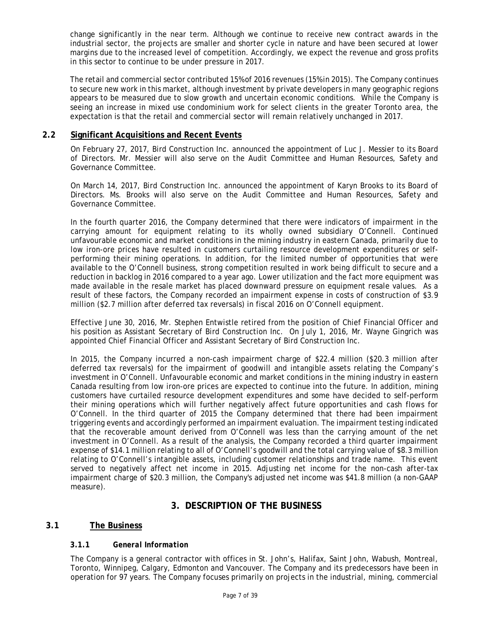change significantly in the near term. Although we continue to receive new contract awards in the industrial sector, the projects are smaller and shorter cycle in nature and have been secured at lower margins due to the increased level of competition. Accordingly, we expect the revenue and gross profits in this sector to continue to be under pressure in 2017.

The retail and commercial sector contributed 15% of 2016 revenues (15% in 2015). The Company continues to secure new work in this market, although investment by private developers in many geographic regions appears to be measured due to slow growth and uncertain economic conditions. While the Company is seeing an increase in mixed use condominium work for select clients in the greater Toronto area, the expectation is that the retail and commercial sector will remain relatively unchanged in 2017.

# **2.2 Significant Acquisitions and Recent Events**

On February 27, 2017, Bird Construction Inc. announced the appointment of Luc J. Messier to its Board of Directors. Mr. Messier will also serve on the Audit Committee and Human Resources, Safety and Governance Committee.

On March 14, 2017, Bird Construction Inc. announced the appointment of Karyn Brooks to its Board of Directors. Ms. Brooks will also serve on the Audit Committee and Human Resources, Safety and Governance Committee.

In the fourth quarter 2016, the Company determined that there were indicators of impairment in the carrying amount for equipment relating to its wholly owned subsidiary O'Connell. Continued unfavourable economic and market conditions in the mining industry in eastern Canada, primarily due to low iron-ore prices have resulted in customers curtailing resource development expenditures or selfperforming their mining operations. In addition, for the limited number of opportunities that were available to the O'Connell business, strong competition resulted in work being difficult to secure and a reduction in backlog in 2016 compared to a year ago. Lower utilization and the fact more equipment was made available in the resale market has placed downward pressure on equipment resale values. As a result of these factors, the Company recorded an impairment expense in costs of construction of \$3.9 million (\$2.7 million after deferred tax reversals) in fiscal 2016 on O'Connell equipment.

Effective June 30, 2016, Mr. Stephen Entwistle retired from the position of Chief Financial Officer and his position as Assistant Secretary of Bird Construction Inc. On July 1, 2016, Mr. Wayne Gingrich was appointed Chief Financial Officer and Assistant Secretary of Bird Construction Inc.

In 2015, the Company incurred a non-cash impairment charge of \$22.4 million (\$20.3 million after deferred tax reversals) for the impairment of goodwill and intangible assets relating the Company's investment in O'Connell. Unfavourable economic and market conditions in the mining industry in eastern Canada resulting from low iron-ore prices are expected to continue into the future. In addition, mining customers have curtailed resource development expenditures and some have decided to self-perform their mining operations which will further negatively affect future opportunities and cash flows for O'Connell. In the third quarter of 2015 the Company determined that there had been impairment triggering events and accordingly performed an impairment evaluation. The impairment testing indicated that the recoverable amount derived from O'Connell was less than the carrying amount of the net investment in O'Connell. As a result of the analysis, the Company recorded a third quarter impairment expense of \$14.1 million relating to all of O'Connell's goodwill and the total carrying value of \$8.3 million relating to O'Connell's intangible assets, including customer relationships and trade name. This event served to negatively affect net income in 2015. Adjusting net income for the non-cash after-tax impairment charge of \$20.3 million, the Company's adjusted net income was \$41.8 million (a non-GAAP measure).

# **3. DESCRIPTION OF THE BUSINESS**

# **3.1 The Business**

# **3.1.1** *General Information*

The Company is a general contractor with offices in St. John's, Halifax, Saint John, Wabush, Montreal, Toronto, Winnipeg, Calgary, Edmonton and Vancouver. The Company and its predecessors have been in operation for 97 years. The Company focuses primarily on projects in the industrial, mining, commercial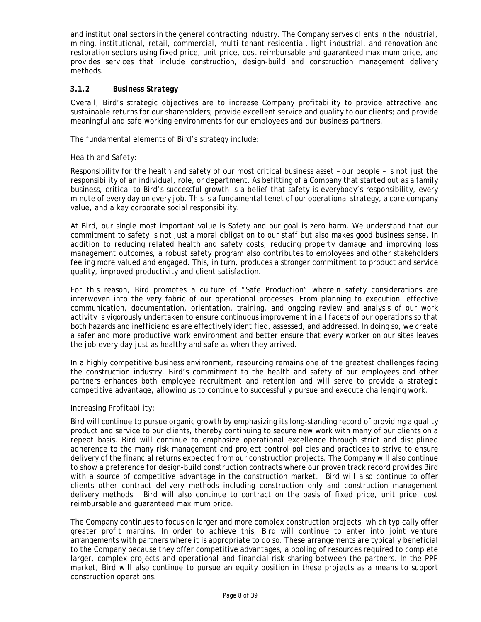and institutional sectors in the general contracting industry. The Company serves clients in the industrial, mining, institutional, retail, commercial, multi-tenant residential, light industrial, and renovation and restoration sectors using fixed price, unit price, cost reimbursable and guaranteed maximum price, and provides services that include construction, design-build and construction management delivery methods.

### **3.1.2** *Business Strategy*

Overall, Bird's strategic objectives are to increase Company profitability to provide attractive and sustainable returns for our shareholders; provide excellent service and quality to our clients; and provide meaningful and safe working environments for our employees and our business partners.

The fundamental elements of Bird's strategy include:

#### *Health and Safety:*

Responsibility for the health and safety of our most critical business asset – our people – is not just the responsibility of an individual, role, or department. As befitting of a Company that started out as a family business, critical to Bird's successful growth is a belief that safety is everybody's responsibility, every minute of every day on every job. This is a fundamental tenet of our operational strategy, a core company value, and a key corporate social responsibility.

At Bird, our single most important value is Safety and our goal is zero harm. We understand that our commitment to safety is not just a moral obligation to our staff but also makes good business sense. In addition to reducing related health and safety costs, reducing property damage and improving loss management outcomes, a robust safety program also contributes to employees and other stakeholders feeling more valued and engaged. This, in turn, produces a stronger commitment to product and service quality, improved productivity and client satisfaction.

For this reason, Bird promotes a culture of "Safe Production" wherein safety considerations are interwoven into the very fabric of our operational processes. From planning to execution, effective communication, documentation, orientation, training, and ongoing review and analysis of our work activity is vigorously undertaken to ensure continuous improvement in all facets of our operations so that both hazards and inefficiencies are effectively identified, assessed, and addressed. In doing so, we create a safer and more productive work environment and better ensure that every worker on our sites leaves the job every day just as healthy and safe as when they arrived.

In a highly competitive business environment, resourcing remains one of the greatest challenges facing the construction industry. Bird's commitment to the health and safety of our employees and other partners enhances both employee recruitment and retention and will serve to provide a strategic competitive advantage, allowing us to continue to successfully pursue and execute challenging work.

#### *Increasing Profitability:*

Bird will continue to pursue organic growth by emphasizing its long-standing record of providing a quality product and service to our clients, thereby continuing to secure new work with many of our clients on a repeat basis. Bird will continue to emphasize operational excellence through strict and disciplined adherence to the many risk management and project control policies and practices to strive to ensure delivery of the financial returns expected from our construction projects. The Company will also continue to show a preference for design-build construction contracts where our proven track record provides Bird with a source of competitive advantage in the construction market. Bird will also continue to offer clients other contract delivery methods including construction only and construction management delivery methods. Bird will also continue to contract on the basis of fixed price, unit price, cost reimbursable and guaranteed maximum price.

The Company continues to focus on larger and more complex construction projects, which typically offer greater profit margins. In order to achieve this, Bird will continue to enter into joint venture arrangements with partners where it is appropriate to do so. These arrangements are typically beneficial to the Company because they offer competitive advantages, a pooling of resources required to complete larger, complex projects and operational and financial risk sharing between the partners. In the PPP market, Bird will also continue to pursue an equity position in these projects as a means to support construction operations.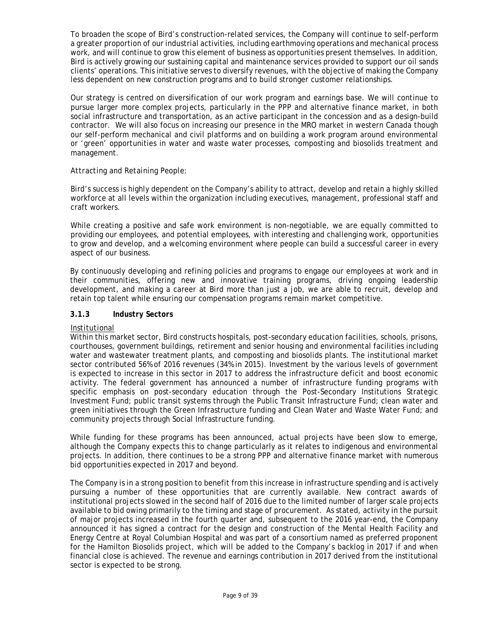To broaden the scope of Bird's construction-related services, the Company will continue to self-perform a greater proportion of our industrial activities, including earthmoving operations and mechanical process work, and will continue to grow this element of business as opportunities present themselves. In addition, Bird is actively growing our sustaining capital and maintenance services provided to support our oil sands clients' operations. This initiative serves to diversify revenues, with the objective of making the Company less dependent on new construction programs and to build stronger customer relationships.

Our strategy is centred on diversification of our work program and earnings base. We will continue to pursue larger more complex projects, particularly in the PPP and alternative finance market, in both social infrastructure and transportation, as an active participant in the concession and as a design-build contractor. We will also focus on increasing our presence in the MRO market in western Canada though our self-perform mechanical and civil platforms and on building a work program around environmental or 'green' opportunities in water and waste water processes, composting and biosolids treatment and management.

#### *Attracting and Retaining People:*

Bird's success is highly dependent on the Company's ability to attract, develop and retain a highly skilled workforce at all levels within the organization including executives, management, professional staff and craft workers.

While creating a positive and safe work environment is non-negotiable, we are equally committed to providing our employees, and potential employees, with interesting and challenging work, opportunities to grow and develop, and a welcoming environment where people can build a successful career in every aspect of our business.

By continuously developing and refining policies and programs to engage our employees at work and in their communities, offering new and innovative training programs, driving ongoing leadership development, and making a career at Bird more than just a job, we are able to recruit, develop and retain top talent while ensuring our compensation programs remain market competitive.

# **3.1.3** *Industry Sectors*

#### *Institutional*

Within this market sector, Bird constructs hospitals, post-secondary education facilities, schools, prisons, courthouses, government buildings, retirement and senior housing and environmental facilities including water and wastewater treatment plants, and composting and biosolids plants. The institutional market sector contributed 56% of 2016 revenues (34% in 2015). Investment by the various levels of government is expected to increase in this sector in 2017 to address the infrastructure deficit and boost economic activity. The federal government has announced a number of infrastructure funding programs with specific emphasis on post-secondary education through the Post-Secondary Institutions Strategic Investment Fund; public transit systems through the Public Transit Infrastructure Fund; clean water and green initiatives through the Green Infrastructure funding and Clean Water and Waste Water Fund; and community projects through Social Infrastructure funding.

While funding for these programs has been announced, actual projects have been slow to emerge, although the Company expects this to change particularly as it relates to indigenous and environmental projects. In addition, there continues to be a strong PPP and alternative finance market with numerous bid opportunities expected in 2017 and beyond.

The Company is in a strong position to benefit from this increase in infrastructure spending and is actively pursuing a number of these opportunities that are currently available. New contract awards of institutional projects slowed in the second half of 2016 due to the limited number of larger scale projects available to bid owing primarily to the timing and stage of procurement. As stated, activity in the pursuit of major projects increased in the fourth quarter and, subsequent to the 2016 year-end, the Company announced it has signed a contract for the design and construction of the Mental Health Facility and Energy Centre at Royal Columbian Hospital and was part of a consortium named as preferred proponent for the Hamilton Biosolids project, which will be added to the Company's backlog in 2017 if and when financial close is achieved. The revenue and earnings contribution in 2017 derived from the institutional sector is expected to be strong.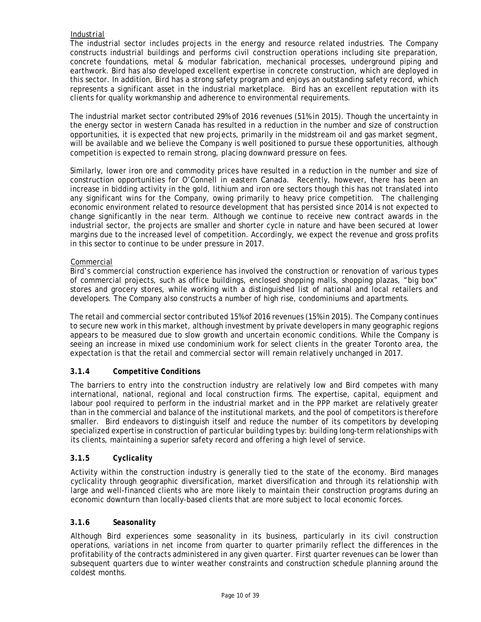# *Industrial*

The industrial sector includes projects in the energy and resource related industries. The Company constructs industrial buildings and performs civil construction operations including site preparation, concrete foundations, metal & modular fabrication, mechanical processes, underground piping and earthwork. Bird has also developed excellent expertise in concrete construction, which are deployed in this sector. In addition, Bird has a strong safety program and enjoys an outstanding safety record, which represents a significant asset in the industrial marketplace. Bird has an excellent reputation with its clients for quality workmanship and adherence to environmental requirements.

The industrial market sector contributed 29% of 2016 revenues (51% in 2015). Though the uncertainty in the energy sector in western Canada has resulted in a reduction in the number and size of construction opportunities, it is expected that new projects, primarily in the midstream oil and gas market segment, will be available and we believe the Company is well positioned to pursue these opportunities, although competition is expected to remain strong, placing downward pressure on fees.

Similarly, lower iron ore and commodity prices have resulted in a reduction in the number and size of construction opportunities for O'Connell in eastern Canada. Recently, however, there has been an increase in bidding activity in the gold, lithium and iron ore sectors though this has not translated into any significant wins for the Company, owing primarily to heavy price competition. The challenging economic environment related to resource development that has persisted since 2014 is not expected to change significantly in the near term. Although we continue to receive new contract awards in the industrial sector, the projects are smaller and shorter cycle in nature and have been secured at lower margins due to the increased level of competition. Accordingly, we expect the revenue and gross profits in this sector to continue to be under pressure in 2017.

# *Commercial*

Bird's commercial construction experience has involved the construction or renovation of various types of commercial projects, such as office buildings, enclosed shopping malls, shopping plazas, "big box" stores and grocery stores, while working with a distinguished list of national and local retailers and developers. The Company also constructs a number of high rise, condominiums and apartments.

The retail and commercial sector contributed 15% of 2016 revenues (15% in 2015). The Company continues to secure new work in this market, although investment by private developers in many geographic regions appears to be measured due to slow growth and uncertain economic conditions. While the Company is seeing an increase in mixed use condominium work for select clients in the greater Toronto area, the expectation is that the retail and commercial sector will remain relatively unchanged in 2017.

# **3.1.4** *Competitive Conditions*

The barriers to entry into the construction industry are relatively low and Bird competes with many international, national, regional and local construction firms. The expertise, capital, equipment and labour pool required to perform in the industrial market and in the PPP market are relatively greater than in the commercial and balance of the institutional markets, and the pool of competitors is therefore smaller. Bird endeavors to distinguish itself and reduce the number of its competitors by developing specialized expertise in construction of particular building types by: building long-term relationships with its clients, maintaining a superior safety record and offering a high level of service.

# **3.1.5** *Cyclicality*

Activity within the construction industry is generally tied to the state of the economy. Bird manages cyclicality through geographic diversification, market diversification and through its relationship with large and well-financed clients who are more likely to maintain their construction programs during an economic downturn than locally-based clients that are more subject to local economic forces.

# **3.1.6** *Seasonality*

Although Bird experiences some seasonality in its business, particularly in its civil construction operations, variations in net income from quarter to quarter primarily reflect the differences in the profitability of the contracts administered in any given quarter. First quarter revenues can be lower than subsequent quarters due to winter weather constraints and construction schedule planning around the coldest months.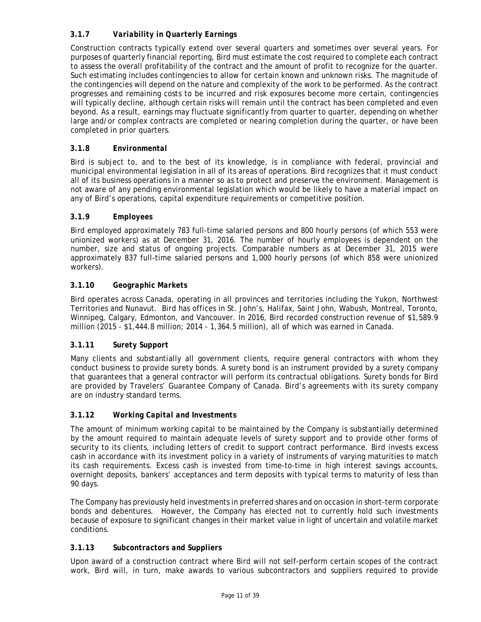# **3.1.7** *Variability in Quarterly Earnings*

Construction contracts typically extend over several quarters and sometimes over several years. For purposes of quarterly financial reporting, Bird must estimate the cost required to complete each contract to assess the overall profitability of the contract and the amount of profit to recognize for the quarter. Such estimating includes contingencies to allow for certain known and unknown risks. The magnitude of the contingencies will depend on the nature and complexity of the work to be performed. As the contract progresses and remaining costs to be incurred and risk exposures become more certain, contingencies will typically decline, although certain risks will remain until the contract has been completed and even beyond. As a result, earnings may fluctuate significantly from quarter to quarter, depending on whether large and/or complex contracts are completed or nearing completion during the quarter, or have been completed in prior quarters.

# **3.1.8** *Environmental*

Bird is subject to, and to the best of its knowledge, is in compliance with federal, provincial and municipal environmental legislation in all of its areas of operations. Bird recognizes that it must conduct all of its business operations in a manner so as to protect and preserve the environment. Management is not aware of any pending environmental legislation which would be likely to have a material impact on any of Bird's operations, capital expenditure requirements or competitive position.

# **3.1.9** *Employees*

Bird employed approximately 783 full-time salaried persons and 800 hourly persons (of which 553 were unionized workers) as at December 31, 2016. The number of hourly employees is dependent on the number, size and status of ongoing projects. Comparable numbers as at December 31, 2015 were approximately 837 full-time salaried persons and 1,000 hourly persons (of which 858 were unionized workers).

# **3.1.10** *Geographic Markets*

Bird operates across Canada, operating in all provinces and territories including the Yukon, Northwest Territories and Nunavut. Bird has offices in St. John's, Halifax, Saint John, Wabush, Montreal, Toronto, Winnipeg, Calgary, Edmonton, and Vancouver. In 2016, Bird recorded construction revenue of \$1,589.9 million (2015 - \$1,444.8 million; 2014 - 1,364.5 million), all of which was earned in Canada.

# **3.1.11** *Surety Support*

Many clients and substantially all government clients, require general contractors with whom they conduct business to provide surety bonds. A surety bond is an instrument provided by a surety company that guarantees that a general contractor will perform its contractual obligations. Surety bonds for Bird are provided by Travelers' Guarantee Company of Canada. Bird's agreements with its surety company are on industry standard terms.

# **3.1.12** *Working Capital and Investments*

The amount of minimum working capital to be maintained by the Company is substantially determined by the amount required to maintain adequate levels of surety support and to provide other forms of security to its clients, including letters of credit to support contract performance. Bird invests excess cash in accordance with its investment policy in a variety of instruments of varying maturities to match its cash requirements. Excess cash is invested from time-to-time in high interest savings accounts, overnight deposits, bankers' acceptances and term deposits with typical terms to maturity of less than 90 days.

The Company has previously held investments in preferred shares and on occasion in short-term corporate bonds and debentures. However, the Company has elected not to currently hold such investments because of exposure to significant changes in their market value in light of uncertain and volatile market conditions.

# **3.1.13** *Subcontractors and Suppliers*

Upon award of a construction contract where Bird will not self-perform certain scopes of the contract work, Bird will, in turn, make awards to various subcontractors and suppliers required to provide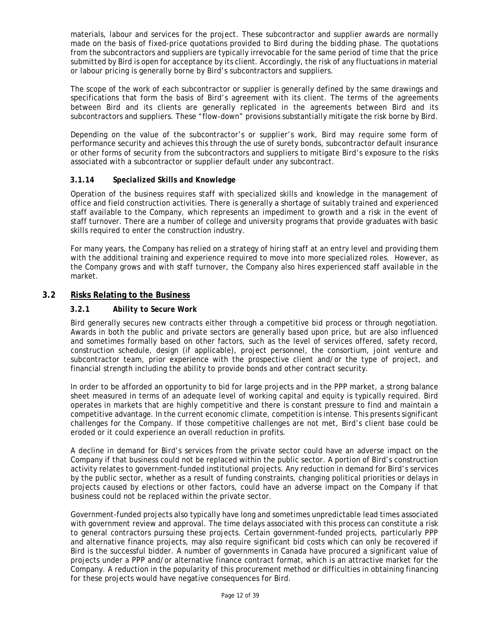materials, labour and services for the project. These subcontractor and supplier awards are normally made on the basis of fixed-price quotations provided to Bird during the bidding phase. The quotations from the subcontractors and suppliers are typically irrevocable for the same period of time that the price submitted by Bird is open for acceptance by its client. Accordingly, the risk of any fluctuations in material or labour pricing is generally borne by Bird's subcontractors and suppliers.

The scope of the work of each subcontractor or supplier is generally defined by the same drawings and specifications that form the basis of Bird's agreement with its client. The terms of the agreements between Bird and its clients are generally replicated in the agreements between Bird and its subcontractors and suppliers. These "flow-down" provisions substantially mitigate the risk borne by Bird.

Depending on the value of the subcontractor's or supplier's work, Bird may require some form of performance security and achieves this through the use of surety bonds, subcontractor default insurance or other forms of security from the subcontractors and suppliers to mitigate Bird's exposure to the risks associated with a subcontractor or supplier default under any subcontract.

# **3.1.14** *Specialized Skills and Knowledge*

Operation of the business requires staff with specialized skills and knowledge in the management of office and field construction activities. There is generally a shortage of suitably trained and experienced staff available to the Company, which represents an impediment to growth and a risk in the event of staff turnover. There are a number of college and university programs that provide graduates with basic skills required to enter the construction industry.

For many years, the Company has relied on a strategy of hiring staff at an entry level and providing them with the additional training and experience required to move into more specialized roles. However, as the Company grows and with staff turnover, the Company also hires experienced staff available in the market.

# **3.2 Risks Relating to the Business**

### **3.2.1** *Ability to Secure Work*

Bird generally secures new contracts either through a competitive bid process or through negotiation. Awards in both the public and private sectors are generally based upon price, but are also influenced and sometimes formally based on other factors, such as the level of services offered, safety record, construction schedule, design (if applicable), project personnel, the consortium, joint venture and subcontractor team, prior experience with the prospective client and/or the type of project, and financial strength including the ability to provide bonds and other contract security.

In order to be afforded an opportunity to bid for large projects and in the PPP market, a strong balance sheet measured in terms of an adequate level of working capital and equity is typically required. Bird operates in markets that are highly competitive and there is constant pressure to find and maintain a competitive advantage. In the current economic climate, competition is intense. This presents significant challenges for the Company. If those competitive challenges are not met, Bird's client base could be eroded or it could experience an overall reduction in profits.

A decline in demand for Bird's services from the private sector could have an adverse impact on the Company if that business could not be replaced within the public sector. A portion of Bird's construction activity relates to government-funded institutional projects. Any reduction in demand for Bird's services by the public sector, whether as a result of funding constraints, changing political priorities or delays in projects caused by elections or other factors, could have an adverse impact on the Company if that business could not be replaced within the private sector.

Government-funded projects also typically have long and sometimes unpredictable lead times associated with government review and approval. The time delays associated with this process can constitute a risk to general contractors pursuing these projects. Certain government-funded projects, particularly PPP and alternative finance projects, may also require significant bid costs which can only be recovered if Bird is the successful bidder. A number of governments in Canada have procured a significant value of projects under a PPP and/or alternative finance contract format, which is an attractive market for the Company. A reduction in the popularity of this procurement method or difficulties in obtaining financing for these projects would have negative consequences for Bird.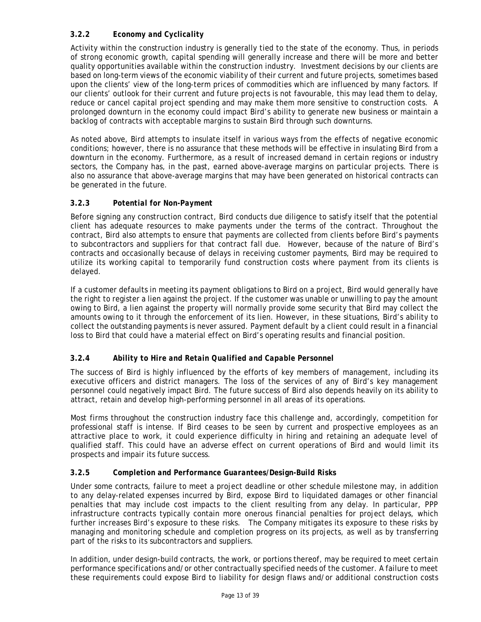# **3.2.2** *Economy and Cyclicality*

Activity within the construction industry is generally tied to the state of the economy. Thus, in periods of strong economic growth, capital spending will generally increase and there will be more and better quality opportunities available within the construction industry. Investment decisions by our clients are based on long-term views of the economic viability of their current and future projects, sometimes based upon the clients' view of the long-term prices of commodities which are influenced by many factors. If our clients' outlook for their current and future projects is not favourable, this may lead them to delay, reduce or cancel capital project spending and may make them more sensitive to construction costs. A prolonged downturn in the economy could impact Bird's ability to generate new business or maintain a backlog of contracts with acceptable margins to sustain Bird through such downturns.

As noted above, Bird attempts to insulate itself in various ways from the effects of negative economic conditions; however, there is no assurance that these methods will be effective in insulating Bird from a downturn in the economy. Furthermore, as a result of increased demand in certain regions or industry sectors, the Company has, in the past, earned above-average margins on particular projects. There is also no assurance that above-average margins that may have been generated on historical contracts can be generated in the future.

# **3.2.3** *Potential for Non-Payment*

Before signing any construction contract, Bird conducts due diligence to satisfy itself that the potential client has adequate resources to make payments under the terms of the contract. Throughout the contract, Bird also attempts to ensure that payments are collected from clients before Bird's payments to subcontractors and suppliers for that contract fall due. However, because of the nature of Bird's contracts and occasionally because of delays in receiving customer payments, Bird may be required to utilize its working capital to temporarily fund construction costs where payment from its clients is delayed.

If a customer defaults in meeting its payment obligations to Bird on a project, Bird would generally have the right to register a lien against the project. If the customer was unable or unwilling to pay the amount owing to Bird, a lien against the property will normally provide some security that Bird may collect the amounts owing to it through the enforcement of its lien. However, in these situations, Bird's ability to collect the outstanding payments is never assured. Payment default by a client could result in a financial loss to Bird that could have a material effect on Bird's operating results and financial position.

# **3.2.4** *Ability to Hire and Retain Qualified and Capable Personnel*

The success of Bird is highly influenced by the efforts of key members of management, including its executive officers and district managers. The loss of the services of any of Bird's key management personnel could negatively impact Bird. The future success of Bird also depends heavily on its ability to attract, retain and develop high-performing personnel in all areas of its operations.

Most firms throughout the construction industry face this challenge and, accordingly, competition for professional staff is intense. If Bird ceases to be seen by current and prospective employees as an attractive place to work, it could experience difficulty in hiring and retaining an adequate level of qualified staff. This could have an adverse effect on current operations of Bird and would limit its prospects and impair its future success.

# **3.2.5** *Completion and Performance Guarantees/Design-Build Risks*

Under some contracts, failure to meet a project deadline or other schedule milestone may, in addition to any delay-related expenses incurred by Bird, expose Bird to liquidated damages or other financial penalties that may include cost impacts to the client resulting from any delay. In particular, PPP infrastructure contracts typically contain more onerous financial penalties for project delays, which further increases Bird's exposure to these risks. The Company mitigates its exposure to these risks by managing and monitoring schedule and completion progress on its projects, as well as by transferring part of the risks to its subcontractors and suppliers.

In addition, under design-build contracts, the work, or portions thereof, may be required to meet certain performance specifications and/or other contractually specified needs of the customer. A failure to meet these requirements could expose Bird to liability for design flaws and/or additional construction costs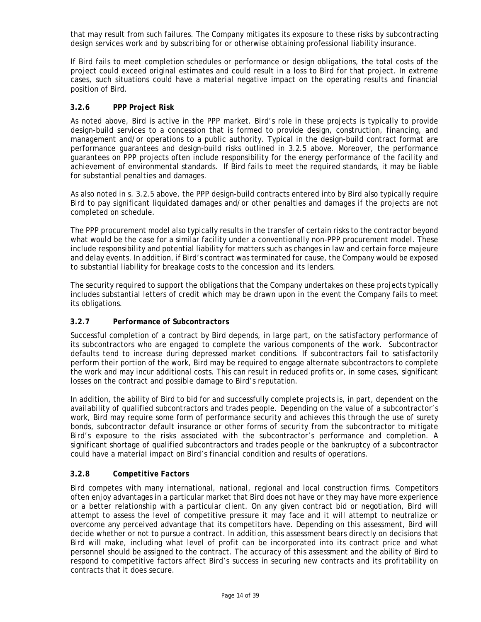that may result from such failures. The Company mitigates its exposure to these risks by subcontracting design services work and by subscribing for or otherwise obtaining professional liability insurance.

If Bird fails to meet completion schedules or performance or design obligations, the total costs of the project could exceed original estimates and could result in a loss to Bird for that project. In extreme cases, such situations could have a material negative impact on the operating results and financial position of Bird.

# **3.2.6** *PPP Project Risk*

As noted above, Bird is active in the PPP market. Bird's role in these projects is typically to provide design-build services to a concession that is formed to provide design, construction, financing, and management and/or operations to a public authority. Typical in the design-build contract format are performance guarantees and design-build risks outlined in 3.2.5 above. Moreover, the performance guarantees on PPP projects often include responsibility for the energy performance of the facility and achievement of environmental standards. If Bird fails to meet the required standards, it may be liable for substantial penalties and damages.

As also noted in s. 3.2.5 above, the PPP design-build contracts entered into by Bird also typically require Bird to pay significant liquidated damages and/or other penalties and damages if the projects are not completed on schedule.

The PPP procurement model also typically results in the transfer of certain risks to the contractor beyond what would be the case for a similar facility under a conventionally non-PPP procurement model. These include responsibility and potential liability for matters such as changes in law and certain force majeure and delay events. In addition, if Bird's contract was terminated for cause, the Company would be exposed to substantial liability for breakage costs to the concession and its lenders.

The security required to support the obligations that the Company undertakes on these projects typically includes substantial letters of credit which may be drawn upon in the event the Company fails to meet its obligations.

# **3.2.7** *Performance of Subcontractors*

Successful completion of a contract by Bird depends, in large part, on the satisfactory performance of its subcontractors who are engaged to complete the various components of the work. Subcontractor defaults tend to increase during depressed market conditions. If subcontractors fail to satisfactorily perform their portion of the work, Bird may be required to engage alternate subcontractors to complete the work and may incur additional costs. This can result in reduced profits or, in some cases, significant losses on the contract and possible damage to Bird's reputation.

In addition, the ability of Bird to bid for and successfully complete projects is, in part, dependent on the availability of qualified subcontractors and trades people. Depending on the value of a subcontractor's work, Bird may require some form of performance security and achieves this through the use of surety bonds, subcontractor default insurance or other forms of security from the subcontractor to mitigate Bird's exposure to the risks associated with the subcontractor's performance and completion. A significant shortage of qualified subcontractors and trades people or the bankruptcy of a subcontractor could have a material impact on Bird's financial condition and results of operations.

# **3.2.8** *Competitive Factors*

Bird competes with many international, national, regional and local construction firms. Competitors often enjoy advantages in a particular market that Bird does not have or they may have more experience or a better relationship with a particular client. On any given contract bid or negotiation, Bird will attempt to assess the level of competitive pressure it may face and it will attempt to neutralize or overcome any perceived advantage that its competitors have. Depending on this assessment, Bird will decide whether or not to pursue a contract. In addition, this assessment bears directly on decisions that Bird will make, including what level of profit can be incorporated into its contract price and what personnel should be assigned to the contract. The accuracy of this assessment and the ability of Bird to respond to competitive factors affect Bird's success in securing new contracts and its profitability on contracts that it does secure.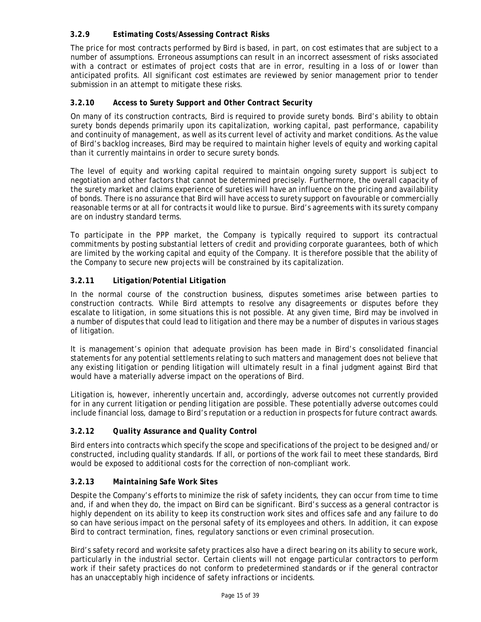# **3.2.9** *Estimating Costs/Assessing Contract Risks*

The price for most contracts performed by Bird is based, in part, on cost estimates that are subject to a number of assumptions. Erroneous assumptions can result in an incorrect assessment of risks associated with a contract or estimates of project costs that are in error, resulting in a loss of or lower than anticipated profits. All significant cost estimates are reviewed by senior management prior to tender submission in an attempt to mitigate these risks.

# **3.2.10** *Access to Surety Support and Other Contract Security*

On many of its construction contracts, Bird is required to provide surety bonds. Bird's ability to obtain surety bonds depends primarily upon its capitalization, working capital, past performance, capability and continuity of management, as well as its current level of activity and market conditions. As the value of Bird's backlog increases, Bird may be required to maintain higher levels of equity and working capital than it currently maintains in order to secure surety bonds.

The level of equity and working capital required to maintain ongoing surety support is subject to negotiation and other factors that cannot be determined precisely. Furthermore, the overall capacity of the surety market and claims experience of sureties will have an influence on the pricing and availability of bonds. There is no assurance that Bird will have access to surety support on favourable or commercially reasonable terms or at all for contracts it would like to pursue. Bird's agreements with its surety company are on industry standard terms.

To participate in the PPP market, the Company is typically required to support its contractual commitments by posting substantial letters of credit and providing corporate guarantees, both of which are limited by the working capital and equity of the Company. It is therefore possible that the ability of the Company to secure new projects will be constrained by its capitalization.

# **3.2.11** *Litigation/Potential Litigation*

In the normal course of the construction business, disputes sometimes arise between parties to construction contracts. While Bird attempts to resolve any disagreements or disputes before they escalate to litigation, in some situations this is not possible. At any given time, Bird may be involved in a number of disputes that could lead to litigation and there may be a number of disputes in various stages of litigation.

It is management's opinion that adequate provision has been made in Bird's consolidated financial statements for any potential settlements relating to such matters and management does not believe that any existing litigation or pending litigation will ultimately result in a final judgment against Bird that would have a materially adverse impact on the operations of Bird.

Litigation is, however, inherently uncertain and, accordingly, adverse outcomes not currently provided for in any current litigation or pending litigation are possible. These potentially adverse outcomes could include financial loss, damage to Bird's reputation or a reduction in prospects for future contract awards.

# **3.2.12** *Quality Assurance and Quality Control*

Bird enters into contracts which specify the scope and specifications of the project to be designed and/or constructed, including quality standards. If all, or portions of the work fail to meet these standards, Bird would be exposed to additional costs for the correction of non-compliant work.

# **3.2.13** *Maintaining Safe Work Sites*

Despite the Company's efforts to minimize the risk of safety incidents, they can occur from time to time and, if and when they do, the impact on Bird can be significant. Bird's success as a general contractor is highly dependent on its ability to keep its construction work sites and offices safe and any failure to do so can have serious impact on the personal safety of its employees and others. In addition, it can expose Bird to contract termination, fines, regulatory sanctions or even criminal prosecution.

Bird's safety record and worksite safety practices also have a direct bearing on its ability to secure work, particularly in the industrial sector. Certain clients will not engage particular contractors to perform work if their safety practices do not conform to predetermined standards or if the general contractor has an unacceptably high incidence of safety infractions or incidents.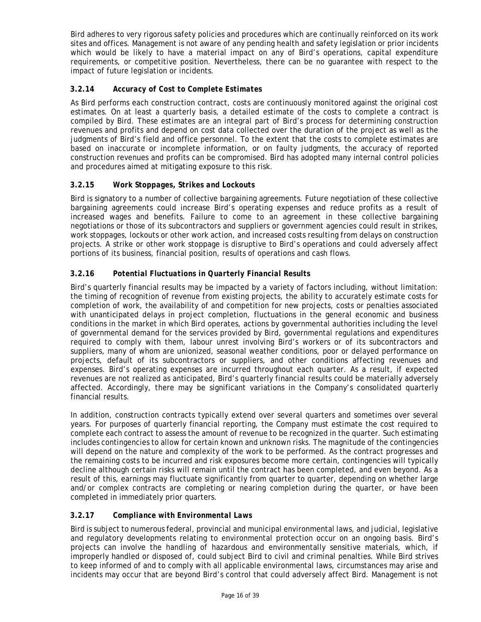Bird adheres to very rigorous safety policies and procedures which are continually reinforced on its work sites and offices. Management is not aware of any pending health and safety legislation or prior incidents which would be likely to have a material impact on any of Bird's operations, capital expenditure requirements, or competitive position. Nevertheless, there can be no guarantee with respect to the impact of future legislation or incidents.

# **3.2.14** *Accuracy of Cost to Complete Estimates*

As Bird performs each construction contract, costs are continuously monitored against the original cost estimates. On at least a quarterly basis, a detailed estimate of the costs to complete a contract is compiled by Bird. These estimates are an integral part of Bird's process for determining construction revenues and profits and depend on cost data collected over the duration of the project as well as the judgments of Bird's field and office personnel. To the extent that the costs to complete estimates are based on inaccurate or incomplete information, or on faulty judgments, the accuracy of reported construction revenues and profits can be compromised. Bird has adopted many internal control policies and procedures aimed at mitigating exposure to this risk.

# **3.2.15** *Work Stoppages, Strikes and Lockouts*

Bird is signatory to a number of collective bargaining agreements. Future negotiation of these collective bargaining agreements could increase Bird's operating expenses and reduce profits as a result of increased wages and benefits. Failure to come to an agreement in these collective bargaining negotiations or those of its subcontractors and suppliers or government agencies could result in strikes, work stoppages, lockouts or other work action, and increased costs resulting from delays on construction projects. A strike or other work stoppage is disruptive to Bird's operations and could adversely affect portions of its business, financial position, results of operations and cash flows.

# **3.2.16** *Potential Fluctuations in Quarterly Financial Results*

Bird's quarterly financial results may be impacted by a variety of factors including, without limitation: the timing of recognition of revenue from existing projects, the ability to accurately estimate costs for completion of work, the availability of and competition for new projects, costs or penalties associated with unanticipated delays in project completion, fluctuations in the general economic and business conditions in the market in which Bird operates, actions by governmental authorities including the level of governmental demand for the services provided by Bird, governmental regulations and expenditures required to comply with them, labour unrest involving Bird's workers or of its subcontractors and suppliers, many of whom are unionized, seasonal weather conditions, poor or delayed performance on projects, default of its subcontractors or suppliers, and other conditions affecting revenues and expenses. Bird's operating expenses are incurred throughout each quarter. As a result, if expected revenues are not realized as anticipated, Bird's quarterly financial results could be materially adversely affected. Accordingly, there may be significant variations in the Company's consolidated quarterly financial results.

In addition, construction contracts typically extend over several quarters and sometimes over several years. For purposes of quarterly financial reporting, the Company must estimate the cost required to complete each contract to assess the amount of revenue to be recognized in the quarter. Such estimating includes contingencies to allow for certain known and unknown risks. The magnitude of the contingencies will depend on the nature and complexity of the work to be performed. As the contract progresses and the remaining costs to be incurred and risk exposures become more certain, contingencies will typically decline although certain risks will remain until the contract has been completed, and even beyond. As a result of this, earnings may fluctuate significantly from quarter to quarter, depending on whether large and/or complex contracts are completing or nearing completion during the quarter, or have been completed in immediately prior quarters.

# **3.2.17** *Compliance with Environmental Laws*

Bird is subject to numerous federal, provincial and municipal environmental laws, and judicial, legislative and regulatory developments relating to environmental protection occur on an ongoing basis. Bird's projects can involve the handling of hazardous and environmentally sensitive materials, which, if improperly handled or disposed of, could subject Bird to civil and criminal penalties. While Bird strives to keep informed of and to comply with all applicable environmental laws, circumstances may arise and incidents may occur that are beyond Bird's control that could adversely affect Bird. Management is not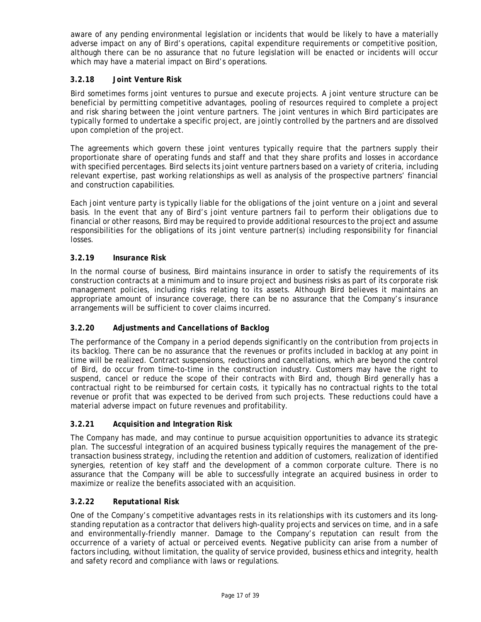aware of any pending environmental legislation or incidents that would be likely to have a materially adverse impact on any of Bird's operations, capital expenditure requirements or competitive position, although there can be no assurance that no future legislation will be enacted or incidents will occur which may have a material impact on Bird's operations.

# **3.2.18** *Joint Venture Risk*

Bird sometimes forms joint ventures to pursue and execute projects. A joint venture structure can be beneficial by permitting competitive advantages, pooling of resources required to complete a project and risk sharing between the joint venture partners. The joint ventures in which Bird participates are typically formed to undertake a specific project, are jointly controlled by the partners and are dissolved upon completion of the project.

The agreements which govern these joint ventures typically require that the partners supply their proportionate share of operating funds and staff and that they share profits and losses in accordance with specified percentages. Bird selects its joint venture partners based on a variety of criteria, including relevant expertise, past working relationships as well as analysis of the prospective partners' financial and construction capabilities.

Each joint venture party is typically liable for the obligations of the joint venture on a joint and several basis. In the event that any of Bird's joint venture partners fail to perform their obligations due to financial or other reasons, Bird may be required to provide additional resources to the project and assume responsibilities for the obligations of its joint venture partner(s) including responsibility for financial losses.

# **3.2.19** *Insurance Risk*

In the normal course of business, Bird maintains insurance in order to satisfy the requirements of its construction contracts at a minimum and to insure project and business risks as part of its corporate risk management policies, including risks relating to its assets. Although Bird believes it maintains an appropriate amount of insurance coverage, there can be no assurance that the Company's insurance arrangements will be sufficient to cover claims incurred.

# **3.2.20** *Adjustments and Cancellations of Backlog*

The performance of the Company in a period depends significantly on the contribution from projects in its backlog. There can be no assurance that the revenues or profits included in backlog at any point in time will be realized. Contract suspensions, reductions and cancellations, which are beyond the control of Bird, do occur from time-to-time in the construction industry. Customers may have the right to suspend, cancel or reduce the scope of their contracts with Bird and, though Bird generally has a contractual right to be reimbursed for certain costs, it typically has no contractual rights to the total revenue or profit that was expected to be derived from such projects. These reductions could have a material adverse impact on future revenues and profitability.

# **3.2.21** *Acquisition and Integration Risk*

The Company has made, and may continue to pursue acquisition opportunities to advance its strategic plan. The successful integration of an acquired business typically requires the management of the pretransaction business strategy, including the retention and addition of customers, realization of identified synergies, retention of key staff and the development of a common corporate culture. There is no assurance that the Company will be able to successfully integrate an acquired business in order to maximize or realize the benefits associated with an acquisition.

# **3.2.22** *Reputational Risk*

One of the Company's competitive advantages rests in its relationships with its customers and its longstanding reputation as a contractor that delivers high-quality projects and services on time, and in a safe and environmentally-friendly manner. Damage to the Company's reputation can result from the occurrence of a variety of actual or perceived events. Negative publicity can arise from a number of factors including, without limitation, the quality of service provided, business ethics and integrity, health and safety record and compliance with laws or regulations.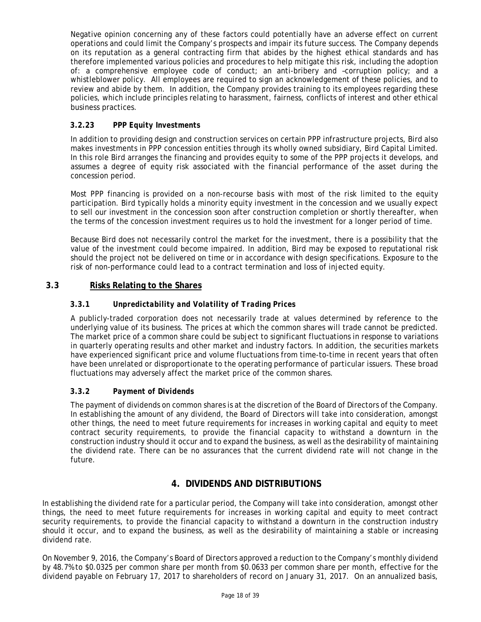Negative opinion concerning any of these factors could potentially have an adverse effect on current operations and could limit the Company's prospects and impair its future success. The Company depends on its reputation as a general contracting firm that abides by the highest ethical standards and has therefore implemented various policies and procedures to help mitigate this risk, including the adoption of: a comprehensive employee code of conduct; an anti-bribery and –corruption policy; and a whistleblower policy. All employees are required to sign an acknowledgement of these policies, and to review and abide by them. In addition, the Company provides training to its employees regarding these policies, which include principles relating to harassment, fairness, conflicts of interest and other ethical business practices.

# **3.2.23** *PPP Equity Investments*

In addition to providing design and construction services on certain PPP infrastructure projects, Bird also makes investments in PPP concession entities through its wholly owned subsidiary, Bird Capital Limited. In this role Bird arranges the financing and provides equity to some of the PPP projects it develops, and assumes a degree of equity risk associated with the financial performance of the asset during the concession period.

Most PPP financing is provided on a non-recourse basis with most of the risk limited to the equity participation. Bird typically holds a minority equity investment in the concession and we usually expect to sell our investment in the concession soon after construction completion or shortly thereafter, when the terms of the concession investment requires us to hold the investment for a longer period of time.

Because Bird does not necessarily control the market for the investment, there is a possibility that the value of the investment could become impaired. In addition, Bird may be exposed to reputational risk should the project not be delivered on time or in accordance with design specifications. Exposure to the risk of non-performance could lead to a contract termination and loss of injected equity.

# **3.3 Risks Relating to the Shares**

# **3.3.1** *Unpredictability and Volatility of Trading Prices*

A publicly-traded corporation does not necessarily trade at values determined by reference to the underlying value of its business. The prices at which the common shares will trade cannot be predicted. The market price of a common share could be subject to significant fluctuations in response to variations in quarterly operating results and other market and industry factors. In addition, the securities markets have experienced significant price and volume fluctuations from time-to-time in recent years that often have been unrelated or disproportionate to the operating performance of particular issuers. These broad fluctuations may adversely affect the market price of the common shares.

# **3.3.2** *Payment of Dividends*

The payment of dividends on common shares is at the discretion of the Board of Directors of the Company. In establishing the amount of any dividend, the Board of Directors will take into consideration, amongst other things, the need to meet future requirements for increases in working capital and equity to meet contract security requirements, to provide the financial capacity to withstand a downturn in the construction industry should it occur and to expand the business, as well as the desirability of maintaining the dividend rate. There can be no assurances that the current dividend rate will not change in the future.

# **4. DIVIDENDS AND DISTRIBUTIONS**

In establishing the dividend rate for a particular period, the Company will take into consideration, amongst other things, the need to meet future requirements for increases in working capital and equity to meet contract security requirements, to provide the financial capacity to withstand a downturn in the construction industry should it occur, and to expand the business, as well as the desirability of maintaining a stable or increasing dividend rate.

On November 9, 2016, the Company's Board of Directors approved a reduction to the Company's monthly dividend by 48.7% to \$0.0325 per common share per month from \$0.0633 per common share per month, effective for the dividend payable on February 17, 2017 to shareholders of record on January 31, 2017. On an annualized basis,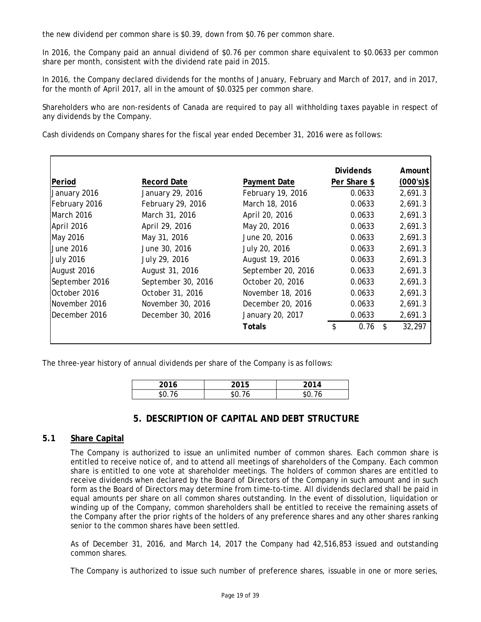the new dividend per common share is \$0.39, down from \$0.76 per common share.

In 2016, the Company paid an annual dividend of \$0.76 per common share equivalent to \$0.0633 per common share per month, consistent with the dividend rate paid in 2015.

In 2016, the Company declared dividends for the months of January, February and March of 2017, and in 2017, for the month of April 2017, all in the amount of \$0.0325 per common share.

Shareholders who are non-residents of Canada are required to pay all withholding taxes payable in respect of any dividends by the Company.

Cash dividends on Company shares for the fiscal year ended December 31, 2016 were as follows:

|                  |                    |                    | <b>Dividends</b> |                | Amount       |
|------------------|--------------------|--------------------|------------------|----------------|--------------|
| Period           | <b>Record Date</b> | Payment Date       | Per Share \$     |                | $(000's)$ \$ |
| January 2016     | January 29, 2016   | February 19, 2016  | 0.0633           |                | 2,691.3      |
| February 2016    | February 29, 2016  | March 18, 2016     | 0.0633           |                | 2,691.3      |
| March 2016       | March 31, 2016     | April 20, 2016     | 0.0633           |                | 2,691.3      |
| April 2016       | April 29, 2016     | May 20, 2016       | 0.0633           |                | 2,691.3      |
| May 2016         | May 31, 2016       | June 20, 2016      | 0.0633           |                | 2,691.3      |
| June 2016        | June 30, 2016      | July 20, 2016      | 0.0633           |                | 2,691.3      |
| <b>July 2016</b> | July 29, 2016      | August 19, 2016    | 0.0633           |                | 2,691.3      |
| August 2016      | August 31, 2016    | September 20, 2016 | 0.0633           |                | 2,691.3      |
| September 2016   | September 30, 2016 | October 20, 2016   | 0.0633           |                | 2,691.3      |
| October 2016     | October 31, 2016   | November 18, 2016  | 0.0633           |                | 2,691.3      |
| November 2016    | November 30, 2016  | December 20, 2016  | 0.0633           |                | 2,691.3      |
| December 2016    | December 30, 2016  | January 20, 2017   | 0.0633           |                | 2,691.3      |
|                  |                    | Totals             | \$<br>0.76       | $\mathfrak{L}$ | 32,297       |
|                  |                    |                    |                  |                |              |

The three-year history of annual dividends per share of the Company is as follows:

| 2016      | 0.015<br>◡ | 2014     |
|-----------|------------|----------|
| ъU<br>, h | ЪI.        | - 1<br>O |

# **5. DESCRIPTION OF CAPITAL AND DEBT STRUCTURE**

# **5.1 Share Capital**

The Company is authorized to issue an unlimited number of common shares. Each common share is entitled to receive notice of, and to attend all meetings of shareholders of the Company. Each common share is entitled to one vote at shareholder meetings. The holders of common shares are entitled to receive dividends when declared by the Board of Directors of the Company in such amount and in such form as the Board of Directors may determine from time-to-time. All dividends declared shall be paid in equal amounts per share on all common shares outstanding. In the event of dissolution, liquidation or winding up of the Company, common shareholders shall be entitled to receive the remaining assets of the Company after the prior rights of the holders of any preference shares and any other shares ranking senior to the common shares have been settled.

As of December 31, 2016, and March 14, 2017 the Company had 42,516,853 issued and outstanding common shares.

The Company is authorized to issue such number of preference shares, issuable in one or more series,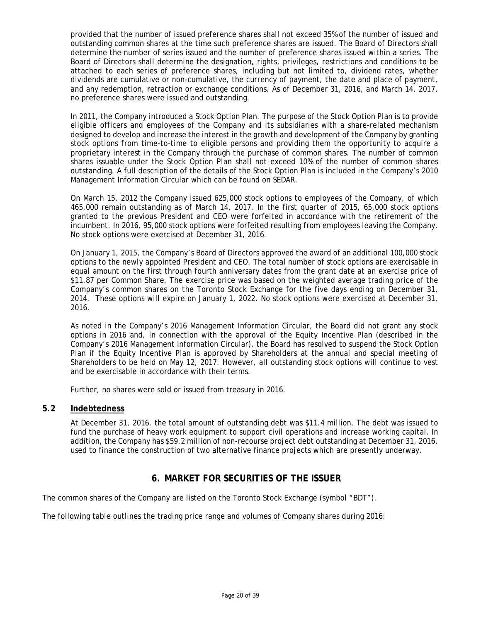provided that the number of issued preference shares shall not exceed 35% of the number of issued and outstanding common shares at the time such preference shares are issued. The Board of Directors shall determine the number of series issued and the number of preference shares issued within a series. The Board of Directors shall determine the designation, rights, privileges, restrictions and conditions to be attached to each series of preference shares, including but not limited to, dividend rates, whether dividends are cumulative or non-cumulative, the currency of payment, the date and place of payment, and any redemption, retraction or exchange conditions. As of December 31, 2016, and March 14, 2017, no preference shares were issued and outstanding.

In 2011, the Company introduced a Stock Option Plan. The purpose of the Stock Option Plan is to provide eligible officers and employees of the Company and its subsidiaries with a share-related mechanism designed to develop and increase the interest in the growth and development of the Company by granting stock options from time-to-time to eligible persons and providing them the opportunity to acquire a proprietary interest in the Company through the purchase of common shares. The number of common shares issuable under the Stock Option Plan shall not exceed 10% of the number of common shares outstanding. A full description of the details of the Stock Option Plan is included in the Company's 2010 Management Information Circular which can be found on SEDAR.

On March 15, 2012 the Company issued 625,000 stock options to employees of the Company, of which 465,000 remain outstanding as of March 14, 2017. In the first quarter of 2015, 65,000 stock options granted to the previous President and CEO were forfeited in accordance with the retirement of the incumbent. In 2016, 95,000 stock options were forfeited resulting from employees leaving the Company. No stock options were exercised at December 31, 2016.

On January 1, 2015, the Company's Board of Directors approved the award of an additional 100,000 stock options to the newly appointed President and CEO. The total number of stock options are exercisable in equal amount on the first through fourth anniversary dates from the grant date at an exercise price of \$11.87 per Common Share. The exercise price was based on the weighted average trading price of the Company's common shares on the Toronto Stock Exchange for the five days ending on December 31, 2014. These options will expire on January 1, 2022. No stock options were exercised at December 31, 2016.

As noted in the Company's 2016 Management Information Circular, the Board did not grant any stock options in 2016 and, in connection with the approval of the Equity Incentive Plan (described in the Company's 2016 Management Information Circular), the Board has resolved to suspend the Stock Option Plan if the Equity Incentive Plan is approved by Shareholders at the annual and special meeting of Shareholders to be held on May 12, 2017. However, all outstanding stock options will continue to vest and be exercisable in accordance with their terms.

Further, no shares were sold or issued from treasury in 2016.

# **5.2 Indebtedness**

At December 31, 2016, the total amount of outstanding debt was \$11.4 million. The debt was issued to fund the purchase of heavy work equipment to support civil operations and increase working capital. In addition, the Company has \$59.2 million of non-recourse project debt outstanding at December 31, 2016, used to finance the construction of two alternative finance projects which are presently underway.

# **6. MARKET FOR SECURITIES OF THE ISSUER**

The common shares of the Company are listed on the Toronto Stock Exchange (symbol "BDT").

The following table outlines the trading price range and volumes of Company shares during 2016: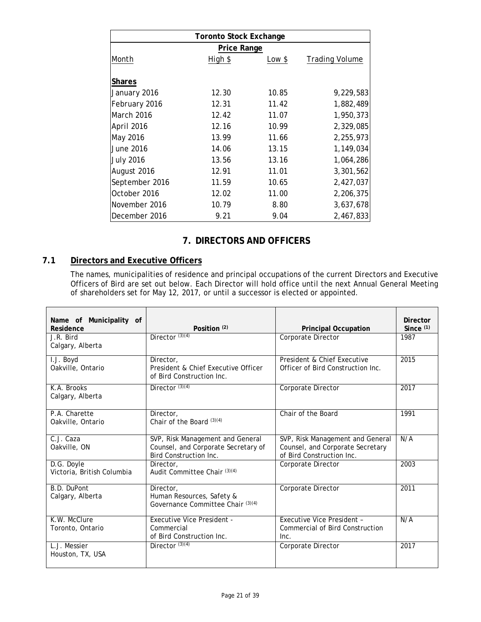| <b>Toronto Stock Exchange</b> |         |        |                       |  |  |  |
|-------------------------------|---------|--------|-----------------------|--|--|--|
| Price Range                   |         |        |                       |  |  |  |
| Month                         | High \$ | Low \$ | <b>Trading Volume</b> |  |  |  |
|                               |         |        |                       |  |  |  |
| <b>Shares</b>                 |         |        |                       |  |  |  |
| January 2016                  | 12.30   | 10.85  | 9,229,583             |  |  |  |
| February 2016                 | 12.31   | 11.42  | 1,882,489             |  |  |  |
| <b>March 2016</b>             | 12.42   | 11.07  | 1,950,373             |  |  |  |
| April 2016                    | 12.16   | 10.99  | 2,329,085             |  |  |  |
| May 2016                      | 13.99   | 11.66  | 2,255,973             |  |  |  |
| June 2016                     | 14.06   | 13.15  | 1,149,034             |  |  |  |
| <b>July 2016</b>              | 13.56   | 13.16  | 1,064,286             |  |  |  |
| August 2016                   | 12.91   | 11.01  | 3,301,562             |  |  |  |
| September 2016                | 11.59   | 10.65  | 2,427,037             |  |  |  |
| October 2016                  | 12.02   | 11.00  | 2,206,375             |  |  |  |
| November 2016                 | 10.79   | 8.80   | 3,637,678             |  |  |  |
| December 2016                 | 9.21    | 9.04   | 2,467,833             |  |  |  |

# **7. DIRECTORS AND OFFICERS**

# **7.1 Directors and Executive Officers**

The names, municipalities of residence and principal occupations of the current Directors and Executive Officers of Bird are set out below. Each Director will hold office until the next Annual General Meeting of shareholders set for May 12, 2017, or until a successor is elected or appointed.

| Name of Municipality of<br>Residence          | Position $(2)$                                                                                    | <b>Principal Occupation</b>                                                                       | <b>Director</b><br>Since $(1)$ |
|-----------------------------------------------|---------------------------------------------------------------------------------------------------|---------------------------------------------------------------------------------------------------|--------------------------------|
| J.R. Bird<br>Calgary, Alberta                 | Director $(3)(4)$                                                                                 | Corporate Director                                                                                | 1987                           |
| $\overline{I. J}$ . Boyd<br>Oakville, Ontario | Director,<br>President & Chief Executive Officer<br>of Bird Construction Inc.                     | President & Chief Executive<br>Officer of Bird Construction Inc.                                  | 2015                           |
| K.A. Brooks<br>Calgary, Alberta               | Director $(3)(4)$                                                                                 | Corporate Director                                                                                | 2017                           |
| P.A. Charette<br>Oakville, Ontario            | Director.<br>Chair of the Board (3)(4)                                                            | Chair of the Board                                                                                | 1991                           |
| C.J. Caza<br>Oakville, ON                     | SVP, Risk Management and General<br>Counsel, and Corporate Secretary of<br>Bird Construction Inc. | SVP, Risk Management and General<br>Counsel, and Corporate Secretary<br>of Bird Construction Inc. | N/A                            |
| D.G. Doyle<br>Victoria, British Columbia      | Director,<br>Audit Committee Chair (3)(4)                                                         | Corporate Director                                                                                | 2003                           |
| B.D. DuPont<br>Calgary, Alberta               | Director,<br>Human Resources, Safety &<br>Governance Committee Chair (3)(4)                       | Corporate Director                                                                                | 2011                           |
| K.W. McClure<br>Toronto, Ontario              | Executive Vice President -<br>Commercial<br>of Bird Construction Inc.                             | Executive Vice President -<br>Commercial of Bird Construction<br>Inc.                             | N/A                            |
| L.J. Messier<br>Houston, TX, USA              | Director $(3)(4)$                                                                                 | Corporate Director                                                                                | 2017                           |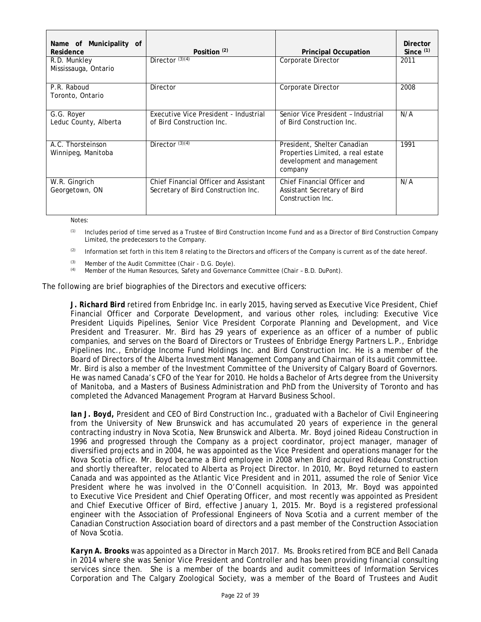| Name of Municipality of<br>Residence    | Position $(2)$                                                               | <b>Principal Occupation</b>                                                                               | <b>Director</b><br>Since $(1)$ |
|-----------------------------------------|------------------------------------------------------------------------------|-----------------------------------------------------------------------------------------------------------|--------------------------------|
| R.D. Munkley<br>Mississauga, Ontario    | Director $(3)(4)$                                                            | Corporate Director                                                                                        | 2011                           |
| P.R. Raboud<br>Toronto, Ontario         | <b>Director</b>                                                              | Corporate Director                                                                                        | 2008                           |
| G.G. Royer<br>Leduc County, Alberta     | Executive Vice President - Industrial<br>of Bird Construction Inc.           | Senior Vice President - Industrial<br>of Bird Construction Inc.                                           | N/A                            |
| A.C. Thorsteinson<br>Winnipeg, Manitoba | Director $(3)(4)$                                                            | President, Shelter Canadian<br>Properties Limited, a real estate<br>development and management<br>company | 1991                           |
| W.R. Gingrich<br>Georgetown, ON         | Chief Financial Officer and Assistant<br>Secretary of Bird Construction Inc. | Chief Financial Officer and<br>Assistant Secretary of Bird<br>Construction Inc.                           | N/A                            |

Notes:

 $<sup>(1)</sup>$  Includes period of time served as a Trustee of Bird Construction Income Fund and as a Director of Bird Construction Company</sup> Limited, the predecessors to the Company.

(2) Information set forth in this Item 8 relating to the Directors and officers of the Company is current as of the date hereof.

(3) Member of the Audit Committee (Chair - D.G. Doyle).

(4) Member of the Human Resources, Safety and Governance Committee (Chair – B.D. DuPont).

The following are brief biographies of the Directors and executive officers:

*J. Richard Bird* retired from Enbridge Inc. in early 2015, having served as Executive Vice President, Chief Financial Officer and Corporate Development, and various other roles, including: Executive Vice President Liquids Pipelines, Senior Vice President Corporate Planning and Development, and Vice President and Treasurer. Mr. Bird has 29 years of experience as an officer of a number of public companies, and serves on the Board of Directors or Trustees of Enbridge Energy Partners L.P., Enbridge Pipelines Inc., Enbridge Income Fund Holdings Inc. and Bird Construction Inc. He is a member of the Board of Directors of the Alberta Investment Management Company and Chairman of its audit committee. Mr. Bird is also a member of the Investment Committee of the University of Calgary Board of Governors. He was named Canada's CFO of the Year for 2010. He holds a Bachelor of Arts degree from the University of Manitoba, and a Masters of Business Administration and PhD from the University of Toronto and has completed the Advanced Management Program at Harvard Business School.

*Ian J. Boyd,* President and CEO of Bird Construction Inc., graduated with a Bachelor of Civil Engineering from the University of New Brunswick and has accumulated 20 years of experience in the general contracting industry in Nova Scotia, New Brunswick and Alberta. Mr. Boyd joined Rideau Construction in 1996 and progressed through the Company as a project coordinator, project manager, manager of diversified projects and in 2004, he was appointed as the Vice President and operations manager for the Nova Scotia office. Mr. Boyd became a Bird employee in 2008 when Bird acquired Rideau Construction and shortly thereafter, relocated to Alberta as Project Director. In 2010, Mr. Boyd returned to eastern Canada and was appointed as the Atlantic Vice President and in 2011, assumed the role of Senior Vice President where he was involved in the O'Connell acquisition. In 2013, Mr. Boyd was appointed to Executive Vice President and Chief Operating Officer, and most recently was appointed as President and Chief Executive Officer of Bird, effective January 1, 2015. Mr. Boyd is a registered professional engineer with the Association of Professional Engineers of Nova Scotia and a current member of the Canadian Construction Association board of directors and a past member of the Construction Association of Nova Scotia.

*Karyn A. Brooks* was appointed as a Director in March 2017. Ms. Brooks retired from BCE and Bell Canada in 2014 where she was Senior Vice President and Controller and has been providing financial consulting services since then. She is a member of the boards and audit committees of Information Services Corporation and The Calgary Zoological Society, was a member of the Board of Trustees and Audit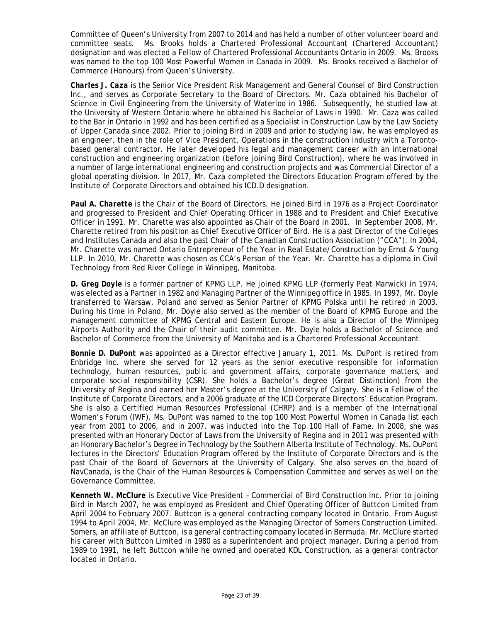Committee of Queen's University from 2007 to 2014 and has held a number of other volunteer board and committee seats. Ms. Brooks holds a Chartered Professional Accountant (Chartered Accountant) designation and was elected a Fellow of Chartered Professional Accountants Ontario in 2009. Ms. Brooks was named to the top 100 Most Powerful Women in Canada in 2009. Ms. Brooks received a Bachelor of Commerce (Honours) from Queen's University.

*Charles J. Caza* is the Senior Vice President Risk Management and General Counsel of Bird Construction Inc., and serves as Corporate Secretary to the Board of Directors. Mr. Caza obtained his Bachelor of Science in Civil Engineering from the University of Waterloo in 1986. Subsequently, he studied law at the University of Western Ontario where he obtained his Bachelor of Laws in 1990. Mr. Caza was called to the Bar in Ontario in 1992 and has been certified as a Specialist in Construction Law by the Law Society of Upper Canada since 2002. Prior to joining Bird in 2009 and prior to studying law, he was employed as an engineer, then in the role of Vice President, Operations in the construction industry with a Torontobased general contractor. He later developed his legal and management career with an international construction and engineering organization (before joining Bird Construction), where he was involved in a number of large international engineering and construction projects and was Commercial Director of a global operating division. In 2017, Mr. Caza completed the Directors Education Program offered by the Institute of Corporate Directors and obtained his ICD.D designation.

Paul A. Charette is the Chair of the Board of Directors. He joined Bird in 1976 as a Project Coordinator and progressed to President and Chief Operating Officer in 1988 and to President and Chief Executive Officer in 1991. Mr. Charette was also appointed as Chair of the Board in 2001. In September 2008, Mr. Charette retired from his position as Chief Executive Officer of Bird. He is a past Director of the Colleges and Institutes Canada and also the past Chair of the Canadian Construction Association ("CCA"). In 2004, Mr. Charette was named Ontario Entrepreneur of the Year in Real Estate/Construction by Ernst & Young LLP. In 2010, Mr. Charette was chosen as CCA's Person of the Year. Mr. Charette has a diploma in Civil Technology from Red River College in Winnipeg, Manitoba.

*D. Greg Doyle* is a former partner of KPMG LLP. He joined KPMG LLP (formerly Peat Marwick) in 1974, was elected as a Partner in 1982 and Managing Partner of the Winnipeg office in 1985. In 1997, Mr. Doyle transferred to Warsaw, Poland and served as Senior Partner of KPMG Polska until he retired in 2003. During his time in Poland, Mr. Doyle also served as the member of the Board of KPMG Europe and the management committee of KPMG Central and Eastern Europe. He is also a Director of the Winnipeg Airports Authority and the Chair of their audit committee. Mr. Doyle holds a Bachelor of Science and Bachelor of Commerce from the University of Manitoba and is a Chartered Professional Accountant.

*Bonnie D. DuPont* was appointed as a Director effective January 1, 2011. Ms. DuPont is retired from Enbridge Inc. where she served for 12 years as the senior executive responsible for information technology, human resources, public and government affairs, corporate governance matters, and corporate social responsibility (CSR). She holds a Bachelor's degree (Great Distinction) from the University of Regina and earned her Master's degree at the University of Calgary. She is a Fellow of the Institute of Corporate Directors, and a 2006 graduate of the ICD Corporate Directors' Education Program. She is also a Certified Human Resources Professional (CHRP) and is a member of the International Women's Forum (IWF). Ms. DuPont was named to the top 100 Most Powerful Women in Canada list each year from 2001 to 2006, and in 2007, was inducted into the Top 100 Hall of Fame. In 2008, she was presented with an Honorary Doctor of Laws from the University of Regina and in 2011 was presented with an Honorary Bachelor's Degree in Technology by the Southern Alberta Institute of Technology. Ms. DuPont lectures in the Directors' Education Program offered by the Institute of Corporate Directors and is the past Chair of the Board of Governors at the University of Calgary. She also serves on the board of NavCanada, is the Chair of the Human Resources & Compensation Committee and serves as well on the Governance Committee.

*Kenneth W. McClure* is Executive Vice President – Commercial of Bird Construction Inc. Prior to joining Bird in March 2007, he was employed as President and Chief Operating Officer of Buttcon Limited from April 2004 to February 2007. Buttcon is a general contracting company located in Ontario. From August 1994 to April 2004, Mr. McClure was employed as the Managing Director of Somers Construction Limited. Somers, an affiliate of Buttcon, is a general contracting company located in Bermuda. Mr. McClure started his career with Buttcon Limited in 1980 as a superintendent and project manager. During a period from 1989 to 1991, he left Buttcon while he owned and operated KDL Construction, as a general contractor located in Ontario.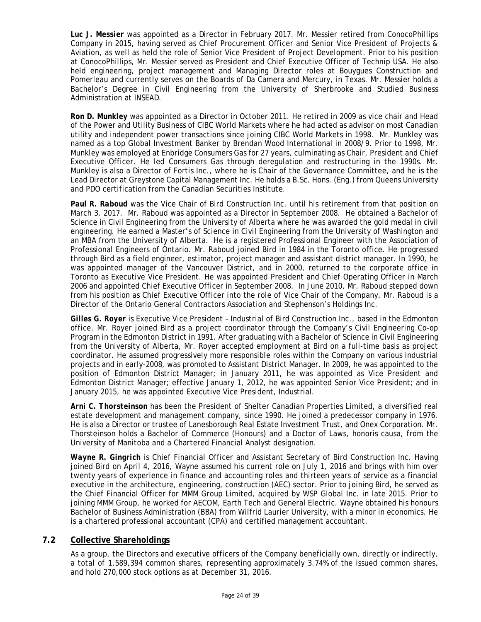*Luc J. Messier* was appointed as a Director in February 2017. Mr. Messier retired from ConocoPhillips Company in 2015, having served as Chief Procurement Officer and Senior Vice President of Projects & Aviation, as well as held the role of Senior Vice President of Project Development. Prior to his position at ConocoPhillips, Mr. Messier served as President and Chief Executive Officer of Technip USA. He also held engineering, project management and Managing Director roles at Bouygues Construction and Pomerleau and currently serves on the Boards of Da Camera and Mercury, in Texas. Mr. Messier holds a Bachelor's Degree in Civil Engineering from the University of Sherbrooke and Studied Business Administration at INSEAD.

*Ron D. Munkley* was appointed as a Director in October 2011. He retired in 2009 as vice chair and Head of the Power and Utility Business of CIBC World Markets where he had acted as advisor on most Canadian utility and independent power transactions since joining CIBC World Markets in 1998. Mr. Munkley was named as a top Global Investment Banker by Brendan Wood International in 2008/9. Prior to 1998, Mr. Munkley was employed at Enbridge Consumers Gas for 27 years, culminating as Chair, President and Chief Executive Officer. He led Consumers Gas through deregulation and restructuring in the 1990s. Mr. Munkley is also a Director of Fortis Inc., where he is Chair of the Governance Committee, and he is the Lead Director at Greystone Capital Management Inc. He holds a B.Sc. Hons. (Eng.) from Queens University and PDO certification from the Canadian Securities Institute.

*Paul R. Raboud* was the Vice Chair of Bird Construction Inc. until his retirement from that position on March 3, 2017. Mr. Raboud was appointed as a Director in September 2008. He obtained a Bachelor of Science in Civil Engineering from the University of Alberta where he was awarded the gold medal in civil engineering. He earned a Master's of Science in Civil Engineering from the University of Washington and an MBA from the University of Alberta. He is a registered Professional Engineer with the Association of Professional Engineers of Ontario. Mr. Raboud joined Bird in 1984 in the Toronto office. He progressed through Bird as a field engineer, estimator, project manager and assistant district manager. In 1990, he was appointed manager of the Vancouver District, and in 2000, returned to the corporate office in Toronto as Executive Vice President. He was appointed President and Chief Operating Officer in March 2006 and appointed Chief Executive Officer in September 2008. In June 2010, Mr. Raboud stepped down from his position as Chief Executive Officer into the role of Vice Chair of the Company. Mr. Raboud is a Director of the Ontario General Contractors Association and Stephenson's Holdings Inc.

*Gilles G. Royer* is Executive Vice President – Industrial of Bird Construction Inc., based in the Edmonton office. Mr. Royer joined Bird as a project coordinator through the Company's Civil Engineering Co-op Program in the Edmonton District in 1991. After graduating with a Bachelor of Science in Civil Engineering from the University of Alberta, Mr. Royer accepted employment at Bird on a full-time basis as project coordinator. He assumed progressively more responsible roles within the Company on various industrial projects and in early-2008, was promoted to Assistant District Manager. In 2009, he was appointed to the position of Edmonton District Manager; in January 2011, he was appointed as Vice President and Edmonton District Manager; effective January 1, 2012, he was appointed Senior Vice President; and in January 2015, he was appointed Executive Vice President, Industrial.

*Arni C. Thorsteinson* has been the President of Shelter Canadian Properties Limited, a diversified real estate development and management company, since 1990. He joined a predecessor company in 1976. He is also a Director or trustee of Lanesborough Real Estate Investment Trust, and Onex Corporation. Mr. Thorsteinson holds a Bachelor of Commerce (Honours) and a Doctor of Laws, honoris causa, from the University of Manitoba and a Chartered Financial Analyst designation.

*Wayne R. Gingrich* is Chief Financial Officer and Assistant Secretary of Bird Construction Inc. Having joined Bird on April 4, 2016, Wayne assumed his current role on July 1, 2016 and brings with him over twenty years of experience in finance and accounting roles and thirteen years of service as a financial executive in the architecture, engineering, construction (AEC) sector. Prior to joining Bird, he served as the Chief Financial Officer for MMM Group Limited, acquired by WSP Global Inc. in late 2015. Prior to joining MMM Group, he worked for AECOM, Earth Tech and General Electric. Wayne obtained his honours Bachelor of Business Administration (BBA) from Wilfrid Laurier University, with a minor in economics. He is a chartered professional accountant (CPA) and certified management accountant.

# **7.2 Collective Shareholdings**

As a group, the Directors and executive officers of the Company beneficially own, directly or indirectly, a total of 1,589,394 common shares, representing approximately 3.74% of the issued common shares, and hold 270,000 stock options as at December 31, 2016.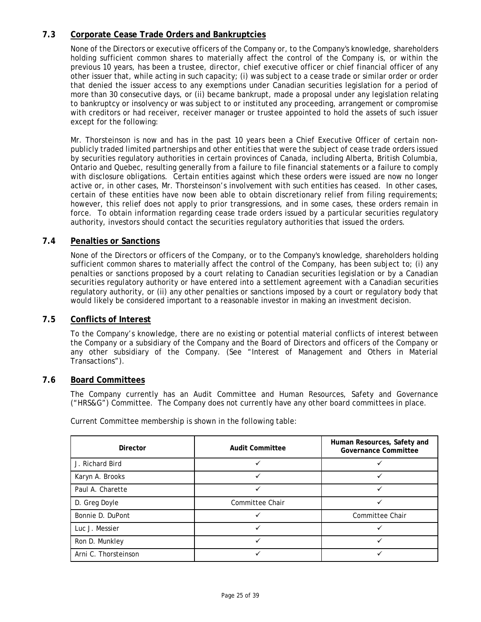# **7.3 Corporate Cease Trade Orders and Bankruptcies**

None of the Directors or executive officers of the Company or, to the Company's knowledge, shareholders holding sufficient common shares to materially affect the control of the Company is, or within the previous 10 years, has been a trustee, director, chief executive officer or chief financial officer of any other issuer that, while acting in such capacity; (i) was subject to a cease trade or similar order or order that denied the issuer access to any exemptions under Canadian securities legislation for a period of more than 30 consecutive days, or (ii) became bankrupt, made a proposal under any legislation relating to bankruptcy or insolvency or was subject to or instituted any proceeding, arrangement or compromise with creditors or had receiver, receiver manager or trustee appointed to hold the assets of such issuer except for the following:

Mr. Thorsteinson is now and has in the past 10 years been a Chief Executive Officer of certain nonpublicly traded limited partnerships and other entities that were the subject of cease trade orders issued by securities regulatory authorities in certain provinces of Canada, including Alberta, British Columbia, Ontario and Quebec, resulting generally from a failure to file financial statements or a failure to comply with disclosure obligations. Certain entities against which these orders were issued are now no longer active or, in other cases, Mr. Thorsteinson's involvement with such entities has ceased. In other cases, certain of these entities have now been able to obtain discretionary relief from filing requirements; however, this relief does not apply to prior transgressions, and in some cases, these orders remain in force. To obtain information regarding cease trade orders issued by a particular securities regulatory authority, investors should contact the securities regulatory authorities that issued the orders.

# **7.4 Penalties or Sanctions**

None of the Directors or officers of the Company, or to the Company's knowledge, shareholders holding sufficient common shares to materially affect the control of the Company, has been subject to; (i) any penalties or sanctions proposed by a court relating to Canadian securities legislation or by a Canadian securities regulatory authority or have entered into a settlement agreement with a Canadian securities regulatory authority, or (ii) any other penalties or sanctions imposed by a court or regulatory body that would likely be considered important to a reasonable investor in making an investment decision.

# **7.5 Conflicts of Interest**

To the Company's knowledge, there are no existing or potential material conflicts of interest between the Company or a subsidiary of the Company and the Board of Directors and officers of the Company or any other subsidiary of the Company. (See "Interest of Management and Others in Material Transactions").

# **7.6 Board Committees**

The Company currently has an Audit Committee and Human Resources, Safety and Governance ("HRS&G") Committee. The Company does not currently have any other board committees in place.

| <b>Director</b>      | <b>Audit Committee</b> | Human Resources, Safety and<br><b>Governance Committee</b> |  |  |
|----------------------|------------------------|------------------------------------------------------------|--|--|
| J. Richard Bird      |                        |                                                            |  |  |
| Karyn A. Brooks      |                        | ✓                                                          |  |  |
| Paul A. Charette     |                        |                                                            |  |  |
| D. Greg Doyle        | Committee Chair        |                                                            |  |  |
| Bonnie D. DuPont     |                        | Committee Chair                                            |  |  |
| Luc J. Messier       |                        |                                                            |  |  |
| Ron D. Munkley       |                        |                                                            |  |  |
| Arni C. Thorsteinson |                        |                                                            |  |  |

Current Committee membership is shown in the following table: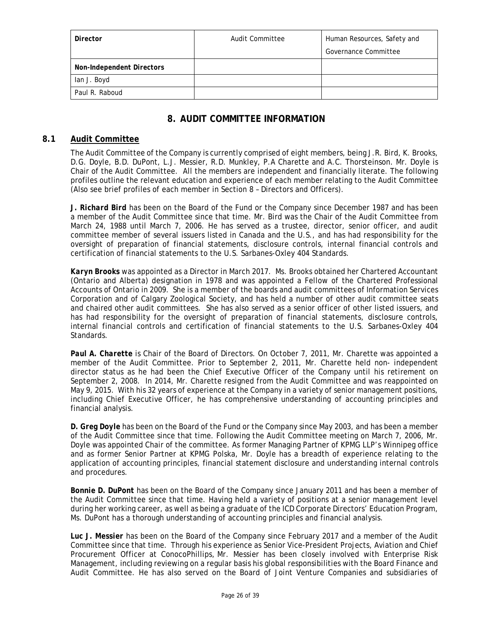| Director                         | Audit Committee | Human Resources, Safety and |  |
|----------------------------------|-----------------|-----------------------------|--|
|                                  |                 | Governance Committee        |  |
| <b>Non-Independent Directors</b> |                 |                             |  |
| lan J. Boyd                      |                 |                             |  |
| Paul R. Raboud                   |                 |                             |  |

# **8. AUDIT COMMITTEE INFORMATION**

# **8.1 Audit Committee**

The Audit Committee of the Company is currently comprised of eight members, being J.R. Bird, K. Brooks, D.G. Doyle, B.D. DuPont, L.J. Messier, R.D. Munkley, P.A Charette and A.C. Thorsteinson. Mr. Doyle is Chair of the Audit Committee. All the members are independent and financially literate. The following profiles outline the relevant education and experience of each member relating to the Audit Committee (Also see brief profiles of each member in Section 8 – Directors and Officers).

*J. Richard Bird* has been on the Board of the Fund or the Company since December 1987 and has been a member of the Audit Committee since that time. Mr. Bird was the Chair of the Audit Committee from March 24, 1988 until March 7, 2006. He has served as a trustee, director, senior officer, and audit committee member of several issuers listed in Canada and the U.S., and has had responsibility for the oversight of preparation of financial statements, disclosure controls, internal financial controls and certification of financial statements to the U.S. Sarbanes-Oxley 404 Standards.

*Karyn Brooks* was appointed as a Director in March 2017. Ms. Brooks obtained her Chartered Accountant (Ontario and Alberta) designation in 1978 and was appointed a Fellow of the Chartered Professional Accounts of Ontario in 2009. She is a member of the boards and audit committees of Information Services Corporation and of Calgary Zoological Society, and has held a number of other audit committee seats and chaired other audit committees. She has also served as a senior officer of other listed issuers, and has had responsibility for the oversight of preparation of financial statements, disclosure controls, internal financial controls and certification of financial statements to the U.S. Sarbanes-Oxley 404 **Standards** 

*Paul A. Charette* is Chair of the Board of Directors. On October 7, 2011, Mr. Charette was appointed a member of the Audit Committee. Prior to September 2, 2011, Mr. Charette held non- independent director status as he had been the Chief Executive Officer of the Company until his retirement on September 2, 2008. In 2014, Mr. Charette resigned from the Audit Committee and was reappointed on May 9, 2015. With his 32 years of experience at the Company in a variety of senior management positions, including Chief Executive Officer, he has comprehensive understanding of accounting principles and financial analysis.

*D. Greg Doyle* has been on the Board of the Fund or the Company since May 2003, and has been a member of the Audit Committee since that time. Following the Audit Committee meeting on March 7, 2006, Mr. Doyle was appointed Chair of the committee. As former Managing Partner of KPMG LLP's Winnipeg office and as former Senior Partner at KPMG Polska, Mr. Doyle has a breadth of experience relating to the application of accounting principles, financial statement disclosure and understanding internal controls and procedures.

*Bonnie D. DuPont* has been on the Board of the Company since January 2011 and has been a member of the Audit Committee since that time. Having held a variety of positions at a senior management level during her working career, as well as being a graduate of the ICD Corporate Directors' Education Program, Ms. DuPont has a thorough understanding of accounting principles and financial analysis.

*Luc J. Messier* has been on the Board of the Company since February 2017 and a member of the Audit Committee since that time. Through his experience as Senior Vice-President Projects, Aviation and Chief Procurement Officer at ConocoPhillips, Mr. Messier has been closely involved with Enterprise Risk Management, including reviewing on a regular basis his global responsibilities with the Board Finance and Audit Committee. He has also served on the Board of Joint Venture Companies and subsidiaries of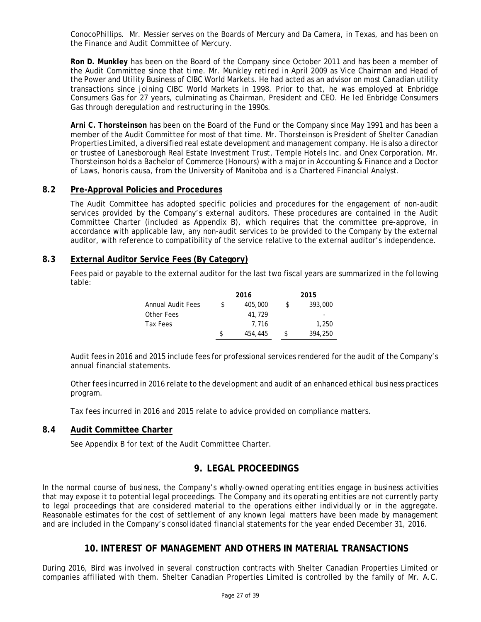ConocoPhillips. Mr. Messier serves on the Boards of Mercury and Da Camera, in Texas, and has been on the Finance and Audit Committee of Mercury.

*Ron D. Munkley* has been on the Board of the Company since October 2011 and has been a member of the Audit Committee since that time. Mr. Munkley retired in April 2009 as Vice Chairman and Head of the Power and Utility Business of CIBC World Markets. He had acted as an advisor on most Canadian utility transactions since joining CIBC World Markets in 1998. Prior to that, he was employed at Enbridge Consumers Gas for 27 years, culminating as Chairman, President and CEO. He led Enbridge Consumers Gas through deregulation and restructuring in the 1990s.

*Arni C. Thorsteinson* has been on the Board of the Fund or the Company since May 1991 and has been a member of the Audit Committee for most of that time. Mr. Thorsteinson is President of Shelter Canadian Properties Limited, a diversified real estate development and management company. He is also a director or trustee of Lanesborough Real Estate Investment Trust, Temple Hotels Inc. and Onex Corporation. Mr. Thorsteinson holds a Bachelor of Commerce (Honours) with a major in Accounting & Finance and a Doctor of Laws, *honoris causa*, from the University of Manitoba and is a Chartered Financial Analyst.

# **8.2 Pre-Approval Policies and Procedures**

The Audit Committee has adopted specific policies and procedures for the engagement of non-audit services provided by the Company's external auditors. These procedures are contained in the Audit Committee Charter (included as Appendix B), which requires that the committee pre-approve, in accordance with applicable law, any non-audit services to be provided to the Company by the external auditor, with reference to compatibility of the service relative to the external auditor's independence.

# **8.3 External Auditor Service Fees (By Category)**

Fees paid or payable to the external auditor for the last two fiscal years are summarized in the following table:

|                   | 2016    |  | 2015    |  |
|-------------------|---------|--|---------|--|
| Annual Audit Fees | 405,000 |  | 393,000 |  |
| Other Fees        | 41.729  |  | ۰       |  |
| Tax Fees          | 7.716   |  | 1,250   |  |
|                   | 454,445 |  | 394,250 |  |

Audit fees in 2016 and 2015 include fees for professional services rendered for the audit of the Company's annual financial statements.

Other fees incurred in 2016 relate to the development and audit of an enhanced ethical business practices program.

Tax fees incurred in 2016 and 2015 relate to advice provided on compliance matters.

# **8.4 Audit Committee Charter**

See Appendix B for text of the Audit Committee Charter.

# **9. LEGAL PROCEEDINGS**

In the normal course of business, the Company's wholly-owned operating entities engage in business activities that may expose it to potential legal proceedings. The Company and its operating entities are not currently party to legal proceedings that are considered material to the operations either individually or in the aggregate. Reasonable estimates for the cost of settlement of any known legal matters have been made by management and are included in the Company's consolidated financial statements for the year ended December 31, 2016.

# **10. INTEREST OF MANAGEMENT AND OTHERS IN MATERIAL TRANSACTIONS**

During 2016, Bird was involved in several construction contracts with Shelter Canadian Properties Limited or companies affiliated with them. Shelter Canadian Properties Limited is controlled by the family of Mr. A.C.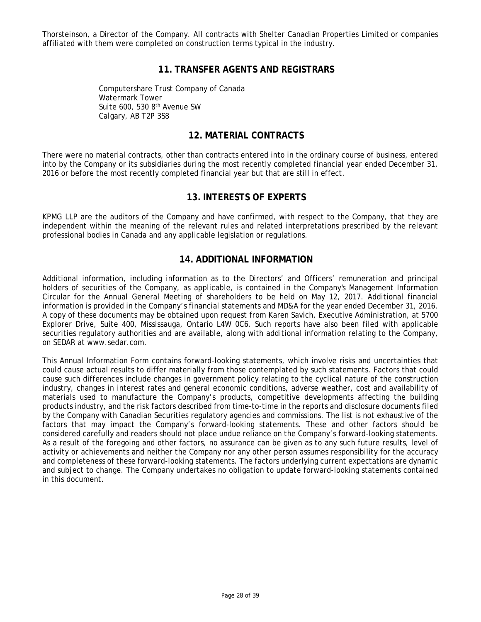Thorsteinson, a Director of the Company. All contracts with Shelter Canadian Properties Limited or companies affiliated with them were completed on construction terms typical in the industry.

# **11. TRANSFER AGENTS AND REGISTRARS**

Computershare Trust Company of Canada Watermark Tower Suite  $600, 5308$ <sup>th</sup> Avenue SW Calgary, AB T2P 3S8

# **12. MATERIAL CONTRACTS**

There were no material contracts, other than contracts entered into in the ordinary course of business, entered into by the Company or its subsidiaries during the most recently completed financial year ended December 31, 2016 or before the most recently completed financial year but that are still in effect.

# **13. INTERESTS OF EXPERTS**

KPMG LLP are the auditors of the Company and have confirmed, with respect to the Company, that they are independent within the meaning of the relevant rules and related interpretations prescribed by the relevant professional bodies in Canada and any applicable legislation or regulations.

# **14. ADDITIONAL INFORMATION**

Additional information, including information as to the Directors' and Officers' remuneration and principal holders of securities of the Company, as applicable, is contained in the Company's Management Information Circular for the Annual General Meeting of shareholders to be held on May 12, 2017. Additional financial information is provided in the Company's financial statements and MD&A for the year ended December 31, 2016. A copy of these documents may be obtained upon request from Karen Savich, Executive Administration, at 5700 Explorer Drive, Suite 400, Mississauga, Ontario L4W 0C6. Such reports have also been filed with applicable securities regulatory authorities and are available, along with additional information relating to the Company, on SEDAR at www.sedar.com.

This Annual Information Form contains forward-looking statements, which involve risks and uncertainties that could cause actual results to differ materially from those contemplated by such statements. Factors that could cause such differences include changes in government policy relating to the cyclical nature of the construction industry, changes in interest rates and general economic conditions, adverse weather, cost and availability of materials used to manufacture the Company's products, competitive developments affecting the building products industry, and the risk factors described from time-to-time in the reports and disclosure documents filed by the Company with Canadian Securities regulatory agencies and commissions. The list is not exhaustive of the factors that may impact the Company's forward-looking statements. These and other factors should be considered carefully and readers should not place undue reliance on the Company's forward-looking statements. As a result of the foregoing and other factors, no assurance can be given as to any such future results, level of activity or achievements and neither the Company nor any other person assumes responsibility for the accuracy and completeness of these forward-looking statements. The factors underlying current expectations are dynamic and subject to change. The Company undertakes no obligation to update forward-looking statements contained in this document.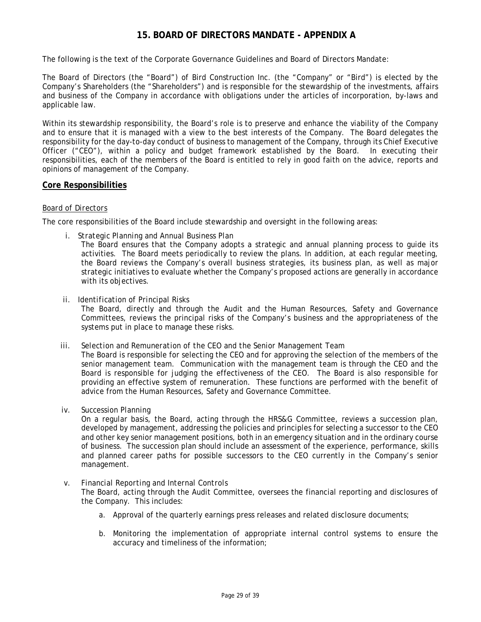# **15. BOARD OF DIRECTORS MANDATE - APPENDIX A**

The following is the text of the Corporate Governance Guidelines and Board of Directors Mandate:

The Board of Directors (the "Board") of Bird Construction Inc. (the "Company" or "Bird") is elected by the Company's Shareholders (the "Shareholders") and is responsible for the stewardship of the investments, affairs and business of the Company in accordance with obligations under the articles of incorporation, by-laws and applicable law.

Within its stewardship responsibility, the Board's role is to preserve and enhance the viability of the Company and to ensure that it is managed with a view to the best interests of the Company. The Board delegates the responsibility for the day-to-day conduct of business to management of the Company, through its Chief Executive Officer ("CEO"), within a policy and budget framework established by the Board. In executing their responsibilities, each of the members of the Board is entitled to rely in good faith on the advice, reports and opinions of management of the Company.

#### **Core Responsibilities**

#### *Board of Directors*

The core responsibilities of the Board include stewardship and oversight in the following areas:

*i. Strategic Planning and Annual Business Plan* 

The Board ensures that the Company adopts a strategic and annual planning process to guide its activities. The Board meets periodically to review the plans. In addition, at each regular meeting, the Board reviews the Company's overall business strategies, its business plan, as well as major strategic initiatives to evaluate whether the Company's proposed actions are generally in accordance with its objectives.

*ii. Identification of Principal Risks* 

The Board, directly and through the Audit and the Human Resources, Safety and Governance Committees, reviews the principal risks of the Company's business and the appropriateness of the systems put in place to manage these risks.

#### *iii. Selection and Remuneration of the CEO and the Senior Management Team*

The Board is responsible for selecting the CEO and for approving the selection of the members of the senior management team. Communication with the management team is through the CEO and the Board is responsible for judging the effectiveness of the CEO. The Board is also responsible for providing an effective system of remuneration. These functions are performed with the benefit of advice from the Human Resources, Safety and Governance Committee.

*iv. Succession Planning* 

On a regular basis, the Board, acting through the HRS&G Committee, reviews a succession plan, developed by management, addressing the policies and principles for selecting a successor to the CEO and other key senior management positions, both in an emergency situation and in the ordinary course of business. The succession plan should include an assessment of the experience, performance, skills and planned career paths for possible successors to the CEO currently in the Company's senior management.

#### *v. Financial Reporting and Internal Controls*

The Board, acting through the Audit Committee, oversees the financial reporting and disclosures of the Company. This includes:

- a. Approval of the quarterly earnings press releases and related disclosure documents;
- b. Monitoring the implementation of appropriate internal control systems to ensure the accuracy and timeliness of the information;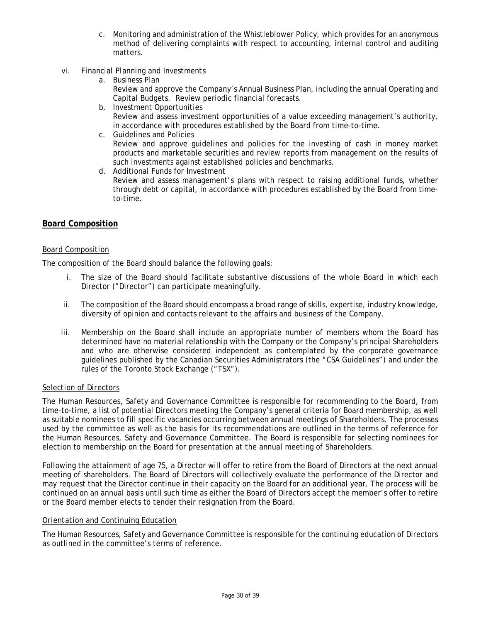- c. Monitoring and administration of the Whistleblower Policy, which provides for an anonymous method of delivering complaints with respect to accounting, internal control and auditing matters.
- *vi. Financial Planning and Investments* 
	- a. Business Plan

Review and approve the Company's Annual Business Plan, including the annual Operating and Capital Budgets. Review periodic financial forecasts.

- b. Investment Opportunities Review and assess investment opportunities of a value exceeding management's authority, in accordance with procedures established by the Board from time-to-time.
- c. Guidelines and Policies Review and approve guidelines and policies for the investing of cash in money market products and marketable securities and review reports from management on the results of such investments against established policies and benchmarks.
- d. Additional Funds for Investment

Review and assess management's plans with respect to raising additional funds, whether through debt or capital, in accordance with procedures established by the Board from timeto-time.

# **Board Composition**

#### *Board Composition*

The composition of the Board should balance the following goals:

- i. The size of the Board should facilitate substantive discussions of the whole Board in which each Director ("Director") can participate meaningfully.
- ii. The composition of the Board should encompass a broad range of skills, expertise, industry knowledge, diversity of opinion and contacts relevant to the affairs and business of the Company.
- iii. Membership on the Board shall include an appropriate number of members whom the Board has determined have no material relationship with the Company or the Company's principal Shareholders and who are otherwise considered independent as contemplated by the corporate governance guidelines published by the Canadian Securities Administrators (the "CSA Guidelines") and under the rules of the Toronto Stock Exchange ("TSX").

#### *Selection of Directors*

The Human Resources, Safety and Governance Committee is responsible for recommending to the Board, from time-to-time, a list of potential Directors meeting the Company's general criteria for Board membership, as well as suitable nominees to fill specific vacancies occurring between annual meetings of Shareholders. The processes used by the committee as well as the basis for its recommendations are outlined in the terms of reference for the Human Resources, Safety and Governance Committee. The Board is responsible for selecting nominees for election to membership on the Board for presentation at the annual meeting of Shareholders.

Following the attainment of age 75, a Director will offer to retire from the Board of Directors at the next annual meeting of shareholders. The Board of Directors will collectively evaluate the performance of the Director and may request that the Director continue in their capacity on the Board for an additional year. The process will be continued on an annual basis until such time as either the Board of Directors accept the member's offer to retire or the Board member elects to tender their resignation from the Board.

#### *Orientation and Continuing Education*

The Human Resources, Safety and Governance Committee is responsible for the continuing education of Directors as outlined in the committee's terms of reference.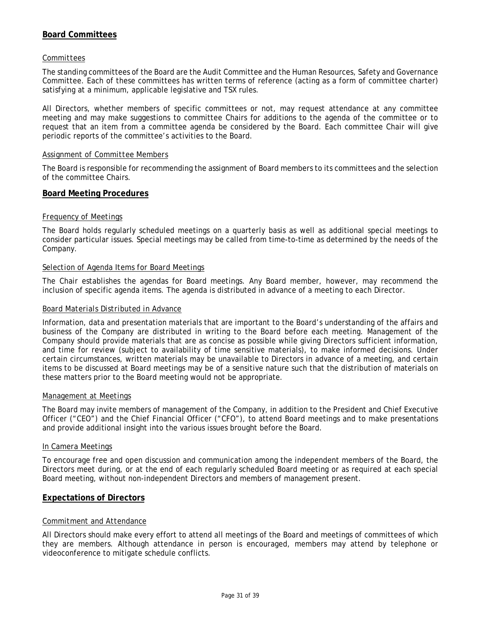# **Board Committees**

#### *Committees*

The standing committees of the Board are the Audit Committee and the Human Resources, Safety and Governance Committee. Each of these committees has written terms of reference (acting as a form of committee charter) satisfying at a minimum, applicable legislative and TSX rules.

All Directors, whether members of specific committees or not, may request attendance at any committee meeting and may make suggestions to committee Chairs for additions to the agenda of the committee or to request that an item from a committee agenda be considered by the Board. Each committee Chair will give periodic reports of the committee's activities to the Board.

#### *Assignment of Committee Members*

The Board is responsible for recommending the assignment of Board members to its committees and the selection of the committee Chairs.

#### **Board Meeting Procedures**

#### *Frequency of Meetings*

The Board holds regularly scheduled meetings on a quarterly basis as well as additional special meetings to consider particular issues. Special meetings may be called from time-to-time as determined by the needs of the Company.

#### *Selection of Agenda Items for Board Meetings*

The Chair establishes the agendas for Board meetings. Any Board member, however, may recommend the inclusion of specific agenda items. The agenda is distributed in advance of a meeting to each Director.

#### *Board Materials Distributed in Advance*

Information, data and presentation materials that are important to the Board's understanding of the affairs and business of the Company are distributed in writing to the Board before each meeting. Management of the Company should provide materials that are as concise as possible while giving Directors sufficient information, and time for review (subject to availability of time sensitive materials), to make informed decisions. Under certain circumstances, written materials may be unavailable to Directors in advance of a meeting, and certain items to be discussed at Board meetings may be of a sensitive nature such that the distribution of materials on these matters prior to the Board meeting would not be appropriate.

#### *Management at Meetings*

The Board may invite members of management of the Company, in addition to the President and Chief Executive Officer ("CEO") and the Chief Financial Officer ("CFO"), to attend Board meetings and to make presentations and provide additional insight into the various issues brought before the Board.

#### *In Camera Meetings*

To encourage free and open discussion and communication among the independent members of the Board, the Directors meet during, or at the end of each regularly scheduled Board meeting or as required at each special Board meeting, without non-independent Directors and members of management present.

#### **Expectations of Directors**

#### *Commitment and Attendance*

All Directors should make every effort to attend all meetings of the Board and meetings of committees of which they are members. Although attendance in person is encouraged, members may attend by telephone or videoconference to mitigate schedule conflicts.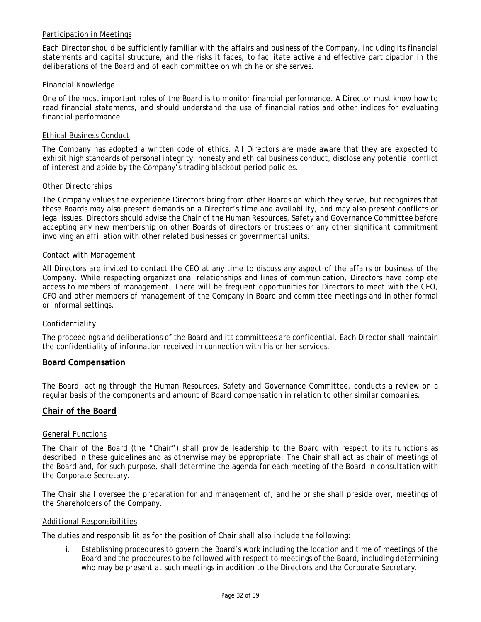# *Participation in Meetings*

Each Director should be sufficiently familiar with the affairs and business of the Company, including its financial statements and capital structure, and the risks it faces, to facilitate active and effective participation in the deliberations of the Board and of each committee on which he or she serves.

#### *Financial Knowledge*

One of the most important roles of the Board is to monitor financial performance. A Director must know how to read financial statements, and should understand the use of financial ratios and other indices for evaluating financial performance.

#### *Ethical Business Conduct*

The Company has adopted a written code of ethics. All Directors are made aware that they are expected to exhibit high standards of personal integrity, honesty and ethical business conduct, disclose any potential conflict of interest and abide by the Company's trading blackout period policies.

#### *Other Directorships*

The Company values the experience Directors bring from other Boards on which they serve, but recognizes that those Boards may also present demands on a Director's time and availability, and may also present conflicts or legal issues. Directors should advise the Chair of the Human Resources, Safety and Governance Committee before accepting any new membership on other Boards of directors or trustees or any other significant commitment involving an affiliation with other related businesses or governmental units.

#### *Contact with Management*

All Directors are invited to contact the CEO at any time to discuss any aspect of the affairs or business of the Company. While respecting organizational relationships and lines of communication, Directors have complete access to members of management. There will be frequent opportunities for Directors to meet with the CEO, CFO and other members of management of the Company in Board and committee meetings and in other formal or informal settings.

#### *Confidentiality*

The proceedings and deliberations of the Board and its committees are confidential. Each Director shall maintain the confidentiality of information received in connection with his or her services.

#### **Board Compensation**

The Board, acting through the Human Resources, Safety and Governance Committee, conducts a review on a regular basis of the components and amount of Board compensation in relation to other similar companies.

# **Chair of the Board**

#### *General Functions*

The Chair of the Board (the "Chair") shall provide leadership to the Board with respect to its functions as described in these guidelines and as otherwise may be appropriate. The Chair shall act as chair of meetings of the Board and, for such purpose, shall determine the agenda for each meeting of the Board in consultation with the Corporate Secretary.

The Chair shall oversee the preparation for and management of, and he or she shall preside over, meetings of the Shareholders of the Company.

#### *Additional Responsibilities*

The duties and responsibilities for the position of Chair shall also include the following:

i. Establishing procedures to govern the Board's work including the location and time of meetings of the Board and the procedures to be followed with respect to meetings of the Board, including determining who may be present at such meetings in addition to the Directors and the Corporate Secretary.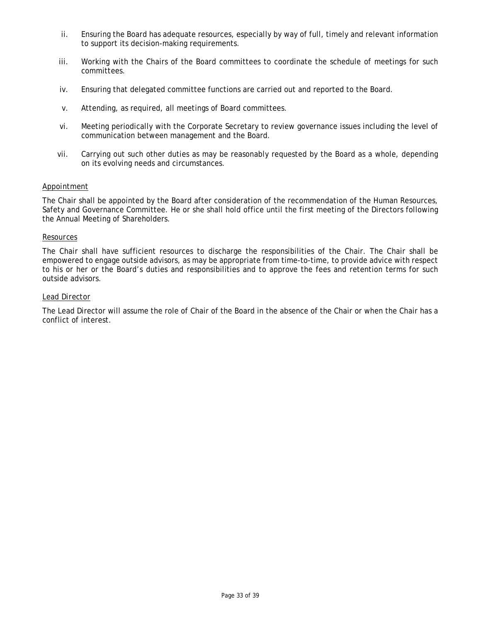- ii. Ensuring the Board has adequate resources, especially by way of full, timely and relevant information to support its decision-making requirements.
- iii. Working with the Chairs of the Board committees to coordinate the schedule of meetings for such committees.
- iv. Ensuring that delegated committee functions are carried out and reported to the Board.
- v. Attending, as required, all meetings of Board committees.
- vi. Meeting periodically with the Corporate Secretary to review governance issues including the level of communication between management and the Board.
- vii. Carrying out such other duties as may be reasonably requested by the Board as a whole, depending on its evolving needs and circumstances.

#### *Appointment*

The Chair shall be appointed by the Board after consideration of the recommendation of the Human Resources, Safety and Governance Committee. He or she shall hold office until the first meeting of the Directors following the Annual Meeting of Shareholders.

#### *Resources*

The Chair shall have sufficient resources to discharge the responsibilities of the Chair. The Chair shall be empowered to engage outside advisors, as may be appropriate from time-to-time, to provide advice with respect to his or her or the Board's duties and responsibilities and to approve the fees and retention terms for such outside advisors.

#### *Lead Director*

The Lead Director will assume the role of Chair of the Board in the absence of the Chair or when the Chair has a conflict of interest.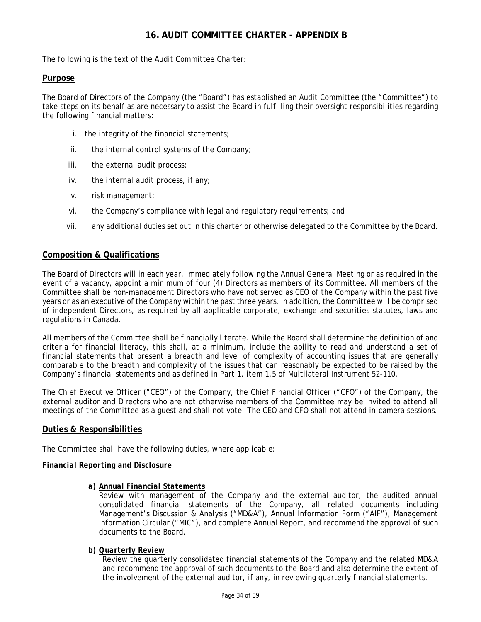# **16. AUDIT COMMITTEE CHARTER - APPENDIX B**

The following is the text of the Audit Committee Charter:

# **Purpose**

The Board of Directors of the Company (the "Board") has established an Audit Committee (the "Committee") to take steps on its behalf as are necessary to assist the Board in fulfilling their oversight responsibilities regarding the following financial matters:

- i. the integrity of the financial statements;
- ii. the internal control systems of the Company;
- iii. the external audit process;
- iv. the internal audit process, if any;
- v. risk management;
- vi. the Company's compliance with legal and regulatory requirements; and
- vii. any additional duties set out in this charter or otherwise delegated to the Committee by the Board.

# **Composition & Qualifications**

The Board of Directors will in each year, immediately following the Annual General Meeting or as required in the event of a vacancy, appoint a minimum of four (4) Directors as members of its Committee. All members of the Committee shall be non-management Directors who have not served as CEO of the Company within the past five years or as an executive of the Company within the past three years. In addition, the Committee will be comprised of independent Directors, as required by all applicable corporate, exchange and securities statutes, laws and regulations in Canada.

All members of the Committee shall be financially literate. While the Board shall determine the definition of and criteria for financial literacy, this shall, at a minimum, include the ability to read and understand a set of financial statements that present a breadth and level of complexity of accounting issues that are generally comparable to the breadth and complexity of the issues that can reasonably be expected to be raised by the Company's financial statements and as defined in Part 1, item 1.5 of Multilateral Instrument 52-110.

The Chief Executive Officer ("CEO") of the Company, the Chief Financial Officer ("CFO") of the Company, the external auditor and Directors who are not otherwise members of the Committee may be invited to attend all meetings of the Committee as a guest and shall not vote. The CEO and CFO shall not attend in-camera sessions.

# **Duties & Responsibilities**

The Committee shall have the following duties, where applicable:

#### *Financial Reporting and Disclosure*

*a) Annual Financial Statements* 

Review with management of the Company and the external auditor, the audited annual consolidated financial statements of the Company, all related documents including Management's Discussion & Analysis ("MD&A"), Annual Information Form ("AIF"), Management Information Circular ("MIC"), and complete Annual Report, and recommend the approval of such documents to the Board.

#### *b) Quarterly Review*

Review the quarterly consolidated financial statements of the Company and the related MD&A and recommend the approval of such documents to the Board and also determine the extent of the involvement of the external auditor, if any, in reviewing quarterly financial statements.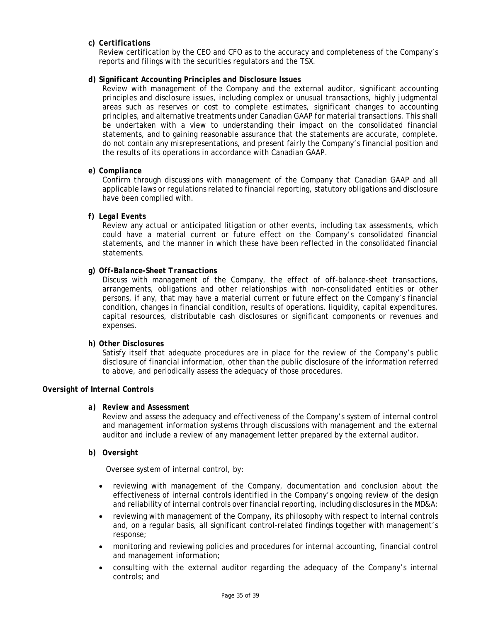### *c) Certifications*

Review certification by the CEO and CFO as to the accuracy and completeness of the Company's reports and filings with the securities regulators and the TSX.

### *d) Significant Accounting Principles and Disclosure Issues*

Review with management of the Company and the external auditor, significant accounting principles and disclosure issues, including complex or unusual transactions, highly judgmental areas such as reserves or cost to complete estimates, significant changes to accounting principles, and alternative treatments under Canadian GAAP for material transactions. This shall be undertaken with a view to understanding their impact on the consolidated financial statements, and to gaining reasonable assurance that the statements are accurate, complete, do not contain any misrepresentations, and present fairly the Company's financial position and the results of its operations in accordance with Canadian GAAP.

#### *e) Compliance*

Confirm through discussions with management of the Company that Canadian GAAP and all applicable laws or regulations related to financial reporting, statutory obligations and disclosure have been complied with.

#### *f) Legal Events*

Review any actual or anticipated litigation or other events, including tax assessments, which could have a material current or future effect on the Company's consolidated financial statements, and the manner in which these have been reflected in the consolidated financial statements.

#### *g) Off-Balance-Sheet Transactions*

Discuss with management of the Company, the effect of off-balance-sheet transactions, arrangements, obligations and other relationships with non-consolidated entities or other persons, if any, that may have a material current or future effect on the Company's financial condition, changes in financial condition, results of operations, liquidity, capital expenditures, capital resources, distributable cash disclosures or significant components or revenues and expenses.

#### *h) Other Disclosures*

Satisfy itself that adequate procedures are in place for the review of the Company's public disclosure of financial information, other than the public disclosure of the information referred to above, and periodically assess the adequacy of those procedures.

#### *Oversight of Internal Controls*

#### *a) Review and Assessment*

Review and assess the adequacy and effectiveness of the Company's system of internal control and management information systems through discussions with management and the external auditor and include a review of any management letter prepared by the external auditor.

### *b) Oversight*

Oversee system of internal control, by:

- reviewing with management of the Company, documentation and conclusion about the effectiveness of internal controls identified in the Company's ongoing review of the design and reliability of internal controls over financial reporting, including disclosures in the MD&A;
- reviewing with management of the Company, its philosophy with respect to internal controls and, on a regular basis, all significant control-related findings together with management's response;
- monitoring and reviewing policies and procedures for internal accounting, financial control and management information;
- consulting with the external auditor regarding the adequacy of the Company's internal controls; and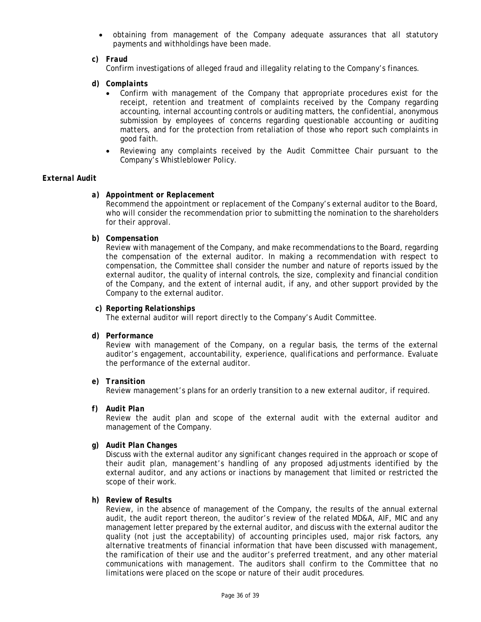obtaining from management of the Company adequate assurances that all statutory payments and withholdings have been made.

#### *c) Fraud*

Confirm investigations of alleged fraud and illegality relating to the Company's finances.

- *d) Complaints* 
	- Confirm with management of the Company that appropriate procedures exist for the receipt, retention and treatment of complaints received by the Company regarding accounting, internal accounting controls or auditing matters, the confidential, anonymous submission by employees of concerns regarding questionable accounting or auditing matters, and for the protection from retaliation of those who report such complaints in good faith.
	- Reviewing any complaints received by the Audit Committee Chair pursuant to the Company's Whistleblower Policy.

#### *External Audit*

#### *a) Appointment or Replacement*

Recommend the appointment or replacement of the Company's external auditor to the Board, who will consider the recommendation prior to submitting the nomination to the shareholders for their approval.

#### *b) Compensation*

Review with management of the Company, and make recommendations to the Board, regarding the compensation of the external auditor. In making a recommendation with respect to compensation, the Committee shall consider the number and nature of reports issued by the external auditor, the quality of internal controls, the size, complexity and financial condition of the Company, and the extent of internal audit, if any, and other support provided by the Company to the external auditor.

#### *c) Reporting Relationships*

The external auditor will report directly to the Company's Audit Committee.

#### *d) Performance*

Review with management of the Company, on a regular basis, the terms of the external auditor's engagement, accountability, experience, qualifications and performance. Evaluate the performance of the external auditor.

#### *e) Transition*

Review management's plans for an orderly transition to a new external auditor, if required.

#### *f) Audit Plan*

Review the audit plan and scope of the external audit with the external auditor and management of the Company.

#### *g) Audit Plan Changes*

Discuss with the external auditor any significant changes required in the approach or scope of their audit plan, management's handling of any proposed adjustments identified by the external auditor, and any actions or inactions by management that limited or restricted the scope of their work.

#### *h) Review of Results*

Review, in the absence of management of the Company, the results of the annual external audit, the audit report thereon, the auditor's review of the related MD&A, AIF, MIC and any management letter prepared by the external auditor, and discuss with the external auditor the quality (not just the acceptability) of accounting principles used, major risk factors, any alternative treatments of financial information that have been discussed with management, the ramification of their use and the auditor's preferred treatment, and any other material communications with management. The auditors shall confirm to the Committee that no limitations were placed on the scope or nature of their audit procedures.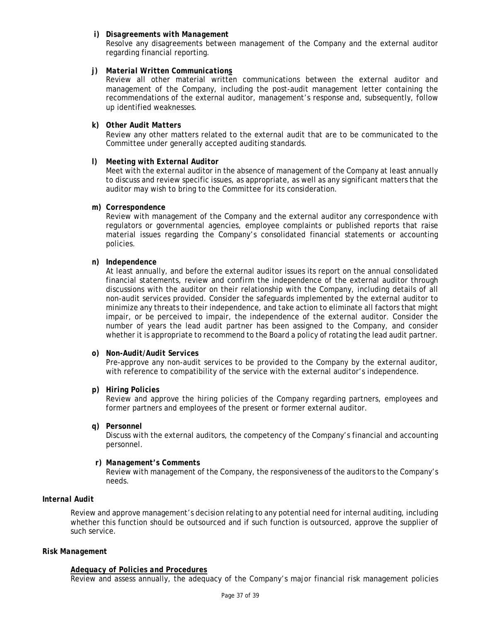#### *i) Disagreements with Management*

Resolve any disagreements between management of the Company and the external auditor regarding financial reporting.

### *j) Material Written Communications*

Review all other material written communications between the external auditor and management of the Company, including the post-audit management letter containing the recommendations of the external auditor, management's response and, subsequently, follow up identified weaknesses.

#### *k) Other Audit Matters*

Review any other matters related to the external audit that are to be communicated to the Committee under generally accepted auditing standards.

#### *l) Meeting with External Auditor*

Meet with the external auditor in the absence of management of the Company at least annually to discuss and review specific issues, as appropriate, as well as any significant matters that the auditor may wish to bring to the Committee for its consideration.

# *m) Correspondence*

Review with management of the Company and the external auditor any correspondence with regulators or governmental agencies, employee complaints or published reports that raise material issues regarding the Company's consolidated financial statements or accounting policies.

#### *n) Independence*

At least annually, and before the external auditor issues its report on the annual consolidated financial statements, review and confirm the independence of the external auditor through discussions with the auditor on their relationship with the Company, including details of all non-audit services provided. Consider the safeguards implemented by the external auditor to minimize any threats to their independence, and take action to eliminate all factors that might impair, or be perceived to impair, the independence of the external auditor. Consider the number of years the lead audit partner has been assigned to the Company, and consider whether it is appropriate to recommend to the Board a policy of rotating the lead audit partner.

#### *o) Non-Audit/Audit Services*

Pre-approve any non-audit services to be provided to the Company by the external auditor, with reference to compatibility of the service with the external auditor's independence.

#### *p) Hiring Policies*

Review and approve the hiring policies of the Company regarding partners, employees and former partners and employees of the present or former external auditor.

*q) Personnel* 

Discuss with the external auditors, the competency of the Company's financial and accounting personnel.

### *r) Management's Comments*

Review with management of the Company, the responsiveness of the auditors to the Company's needs.

# *Internal Audit*

Review and approve management's decision relating to any potential need for internal auditing, including whether this function should be outsourced and if such function is outsourced, approve the supplier of such service.

#### *Risk Management*

#### *Adequacy of Policies and Procedures*

Review and assess annually, the adequacy of the Company's major financial risk management policies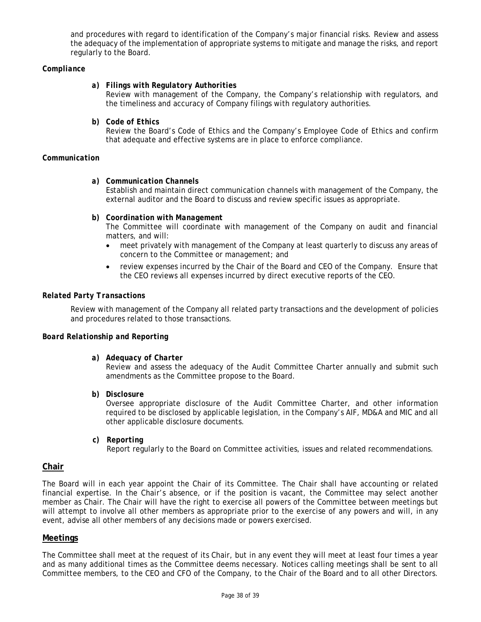and procedures with regard to identification of the Company's major financial risks. Review and assess the adequacy of the implementation of appropriate systems to mitigate and manage the risks, and report regularly to the Board.

#### *Compliance*

#### *a) Filings with Regulatory Authorities*

Review with management of the Company, the Company's relationship with regulators, and the timeliness and accuracy of Company filings with regulatory authorities.

*b) Code of Ethics* 

Review the Board's Code of Ethics and the Company's Employee Code of Ethics and confirm that adequate and effective systems are in place to enforce compliance.

#### *Communication*

*a) Communication Channels* 

Establish and maintain direct communication channels with management of the Company, the external auditor and the Board to discuss and review specific issues as appropriate.

*b) Coordination with Management* 

The Committee will coordinate with management of the Company on audit and financial matters, and will:

- meet privately with management of the Company at least quarterly to discuss any areas of concern to the Committee or management; and
- review expenses incurred by the Chair of the Board and CEO of the Company. Ensure that the CEO reviews all expenses incurred by direct executive reports of the CEO.

#### *Related Party Transactions*

Review with management of the Company all related party transactions and the development of policies and procedures related to those transactions.

#### *Board Relationship and Reporting*

*a) Adequacy of Charter* 

Review and assess the adequacy of the Audit Committee Charter annually and submit such amendments as the Committee propose to the Board.

*b) Disclosure* 

Oversee appropriate disclosure of the Audit Committee Charter, and other information required to be disclosed by applicable legislation, in the Company's AIF, MD&A and MIC and all other applicable disclosure documents.

*c) Reporting* 

Report regularly to the Board on Committee activities, issues and related recommendations.

#### **Chair**

The Board will in each year appoint the Chair of its Committee. The Chair shall have accounting or related financial expertise. In the Chair's absence, or if the position is vacant, the Committee may select another member as Chair. The Chair will have the right to exercise all powers of the Committee between meetings but will attempt to involve all other members as appropriate prior to the exercise of any powers and will, in any event, advise all other members of any decisions made or powers exercised.

# **Meetings**

The Committee shall meet at the request of its Chair, but in any event they will meet at least four times a year and as many additional times as the Committee deems necessary. Notices calling meetings shall be sent to all Committee members, to the CEO and CFO of the Company, to the Chair of the Board and to all other Directors.